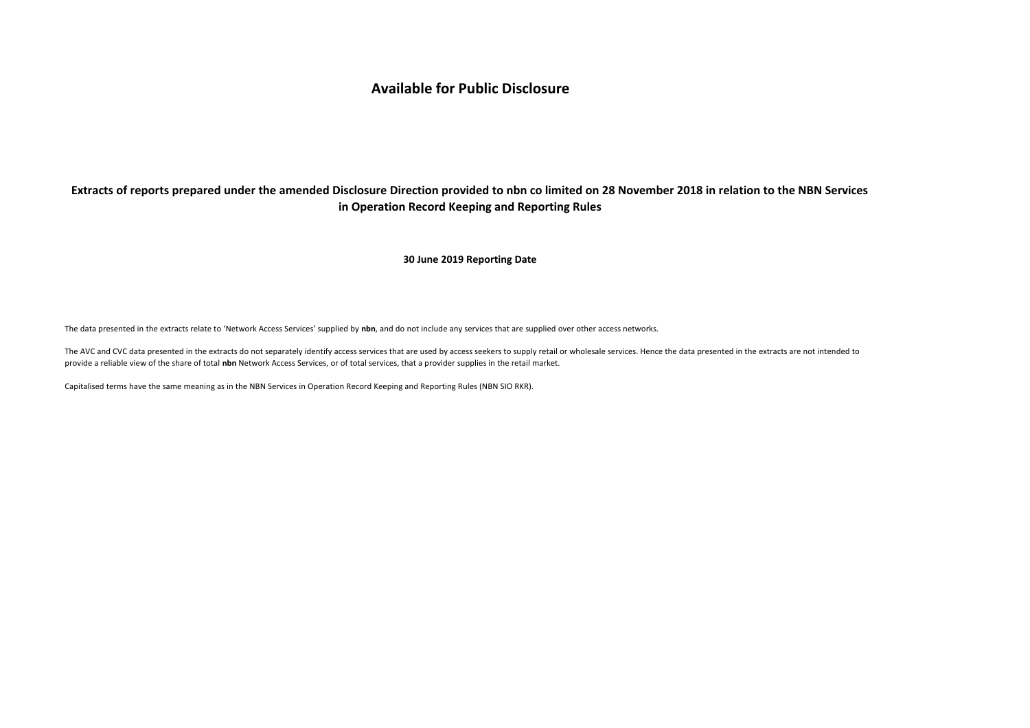# **Available for Public Disclosure**

# **Extracts of reports prepared under the amended Disclosure Direction provided to nbn co limited on 28 November 2018 in relation to the NBN Services in Operation Record Keeping and Reporting Rules**

# **30 June 2019 Reporting Date**

The data presented in the extracts relate to 'Network Access Services' supplied by **nbn**, and do not include any services that are supplied over other access networks.

The AVC and CVC data presented in the extracts do not separately identify access services that are used by access seekers to supply retail or wholesale services. Hence the data presented in the extracts are not intended to provide a reliable view of the share of total **nbn** Network Access Services, or of total services, that a provider supplies in the retail market.

Capitalised terms have the same meaning as in the NBN Services in Operation Record Keeping and Reporting Rules (NBN SIO RKR).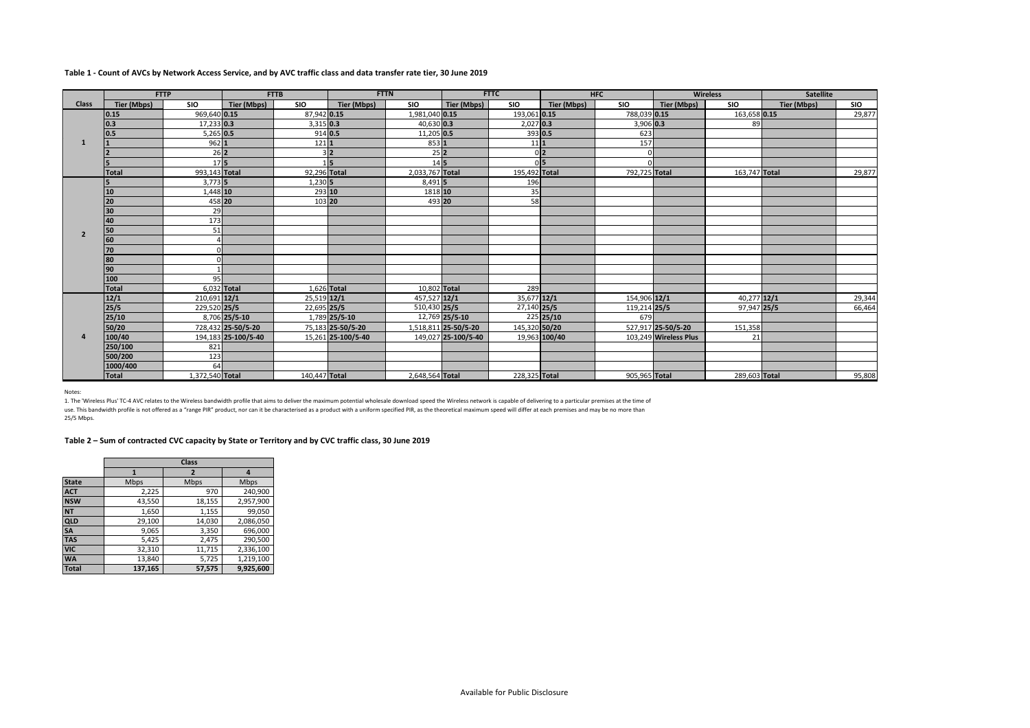# **Table 1 - Count of AVCs by Network Access Service, and by AVC traffic class and data transfer rate tier, 30 June 2019**

|                | <b>FTTP</b>  |                   |                     | <b>FTTB</b>   | <b>FTTN</b>        |                  |                             | <b>FTTC</b>    |               | <b>HFC</b>    |                       | <b>Wireless</b> | <b>Satellite</b> |            |
|----------------|--------------|-------------------|---------------------|---------------|--------------------|------------------|-----------------------------|----------------|---------------|---------------|-----------------------|-----------------|------------------|------------|
| <b>Class</b>   | Tier (Mbps)  | <b>SIO</b>        | Tier (Mbps)         | <b>SIO</b>    | Tier (Mbps)        | <b>SIO</b>       | Tier (Mbps)                 | <b>SIO</b>     | Tier (Mbps)   | <b>SIO</b>    | Tier (Mbps)           | <b>SIO</b>      | Tier (Mbps)      | <b>SIO</b> |
|                | 0.15         | 969,640 0.15      |                     | 87,942 0.15   |                    | 1,981,040 0.15   |                             | 193,061 0.15   |               | 788,039 0.15  |                       | 163,658 0.15    |                  | 29,877     |
|                | 0.3          | 17,233 0.3        |                     | 3,315 0.3     |                    | 40,630 0.3       |                             | $2,027$ 0.3    |               | 3,906 0.3     |                       | 89              |                  |            |
|                | 0.5          | $5,265$ 0.5       |                     | 914 0.5       |                    | 11,205 0.5       |                             | 393 0.5        |               | 623           |                       |                 |                  |            |
|                |              | 9621              |                     | $121$         |                    | 853 1            |                             | 11 1           |               | 157           |                       |                 |                  |            |
|                |              | $26$ <sub>2</sub> |                     |               | 3 <sup>2</sup>     | $25$  2          |                             | 0 <sup>2</sup> |               |               |                       |                 |                  |            |
|                |              | 175               |                     |               | $1\overline{5}$    | $14\overline{5}$ |                             | 0 <sub>5</sub> |               |               |                       |                 |                  |            |
|                | <b>Total</b> | 993,143 Total     |                     | 92,296 Total  |                    | 2,033,767 Total  |                             | 195,492 Total  |               | 792,725 Total |                       | 163,747 Total   |                  | 29,877     |
|                | 5            | $3,773$ 5         |                     | $1,230$ 5     |                    | 8,491 5          |                             | 196            |               |               |                       |                 |                  |            |
|                | 10           | 1.448 10          |                     | 293 10        |                    | 1818 10          |                             | 35             |               |               |                       |                 |                  |            |
|                | 20           | 458 20            |                     | 103 20        |                    | 493 20           |                             | 58             |               |               |                       |                 |                  |            |
|                | 30           | 29                |                     |               |                    |                  |                             |                |               |               |                       |                 |                  |            |
|                | 40           | 173               |                     |               |                    |                  |                             |                |               |               |                       |                 |                  |            |
| $\overline{2}$ | 50           | 51                |                     |               |                    |                  |                             |                |               |               |                       |                 |                  |            |
|                | 60           |                   |                     |               |                    |                  |                             |                |               |               |                       |                 |                  |            |
|                | 70           | n                 |                     |               |                    |                  |                             |                |               |               |                       |                 |                  |            |
|                | 80           |                   |                     |               |                    |                  |                             |                |               |               |                       |                 |                  |            |
|                | 90           |                   |                     |               |                    |                  |                             |                |               |               |                       |                 |                  |            |
|                | 100          | 95                |                     |               |                    |                  |                             |                |               |               |                       |                 |                  |            |
|                | Total        | 6.032 Total       |                     | 1,626 Total   |                    | 10,802 Total     |                             | 289            |               |               |                       |                 |                  |            |
|                | 12/1         | 210,691 12/1      |                     | 25,519 12/1   |                    | 457,527 12/1     |                             | 35,677 12/1    |               | 154,906 12/1  |                       | 40,277 12/1     |                  | 29,344     |
|                | 25/5         | 229.520 25/5      |                     | 22,695 25/5   |                    | 510,430 25/5     |                             | 27,140 25/5    |               | 119,214 25/5  |                       | 97,947 25/5     |                  | 66,464     |
|                | 25/10        |                   | 8.706 25/5-10       |               | 1,789 25/5-10      |                  | $\overline{12,769}$ 25/5-10 |                | $225$ 25/10   | 679           |                       |                 |                  |            |
|                | 50/20        |                   | 728.432 25-50/5-20  |               | 75,183 25-50/5-20  |                  | 1,518,811 25-50/5-20        | 145,320 50/20  |               |               | 527,917 25-50/5-20    | 151,358         |                  |            |
|                | 100/40       |                   | 194,183 25-100/5-40 |               | 15,261 25-100/5-40 |                  | 149,027 25-100/5-40         |                | 19,963 100/40 |               | 103,249 Wireless Plus | 21              |                  |            |
|                | 250/100      | 821               |                     |               |                    |                  |                             |                |               |               |                       |                 |                  |            |
|                | 500/200      | 123               |                     |               |                    |                  |                             |                |               |               |                       |                 |                  |            |
|                | 1000/400     | 64                |                     |               |                    |                  |                             |                |               |               |                       |                 |                  |            |
|                | <b>Total</b> | 1,372,540 Total   |                     | 140,447 Total |                    | 2,648,564 Total  |                             | 228,325 Total  |               | 905,965 Total |                       | 289,603 Total   |                  | 95,808     |

Notes:

1. The 'Wireless Plus' TC-4 AVC relates to the Wireless bandwidth profile that aims to deliver the maximum potential wholesale download speed the Wireless network is capable of delivering to a particular premises at the ti

use. This bandwidth profile is not offered as a "range PIR" product, nor can it be characterised as a product with a uniform specified PIR, as the theoretical maximum speed will differ at each premises and may be no more t

25/5 Mbps.

**Table 2 – Sum of contracted CVC capacity by State or Territory and by CVC traffic class, 30 June 2019**

|              |         | Class       |           |  |  |  |  |  |  |  |
|--------------|---------|-------------|-----------|--|--|--|--|--|--|--|
|              |         | 7           | 4         |  |  |  |  |  |  |  |
| <b>State</b> | Mbps    | <b>Mbps</b> | Mbps      |  |  |  |  |  |  |  |
| <b>ACT</b>   | 2,225   | 970         | 240,900   |  |  |  |  |  |  |  |
| <b>NSW</b>   | 43,550  | 18,155      | 2,957,900 |  |  |  |  |  |  |  |
| <b>NT</b>    | 1,650   | 1,155       | 99,050    |  |  |  |  |  |  |  |
| QLD          | 29,100  | 14,030      | 2,086,050 |  |  |  |  |  |  |  |
| <b>SA</b>    | 9,065   | 3,350       | 696,000   |  |  |  |  |  |  |  |
| <b>TAS</b>   | 5,425   | 2,475       | 290,500   |  |  |  |  |  |  |  |
| <b>VIC</b>   | 32,310  | 11,715      | 2,336,100 |  |  |  |  |  |  |  |
| <b>WA</b>    | 13,840  | 5,725       | 1,219,100 |  |  |  |  |  |  |  |
| <b>Total</b> | 137,165 | 57,575      | 9.925.600 |  |  |  |  |  |  |  |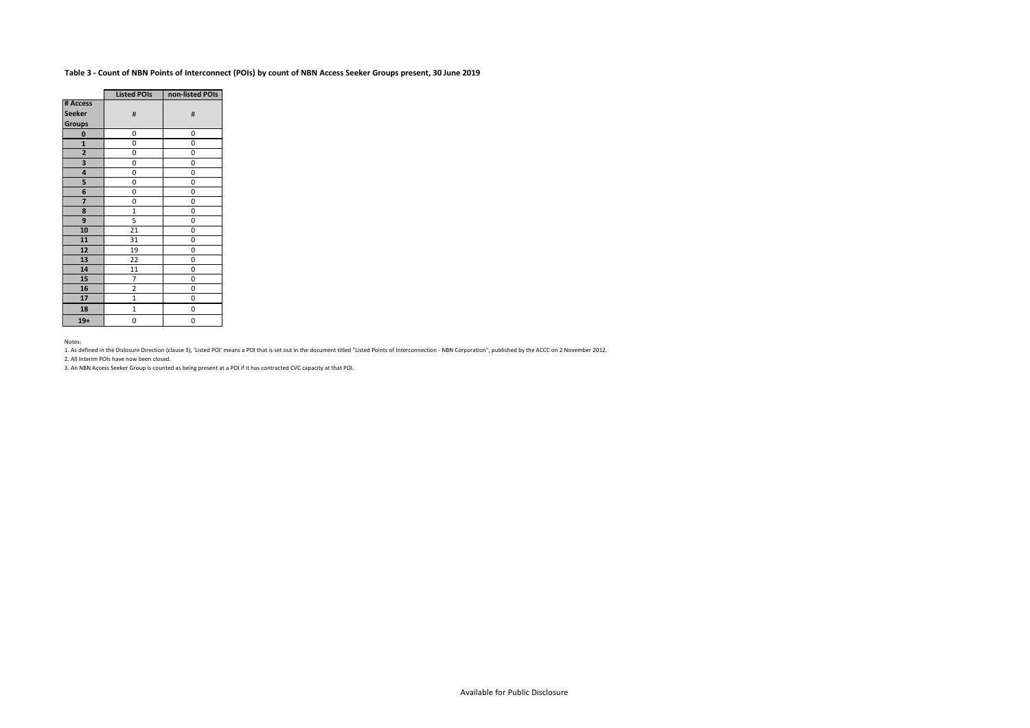# **Table 3 - Count of NBN Points of Interconnect (POIs) by count of NBN Access Seeker Groups present, 30 June 2019**

|                | <b>Listed POIs</b> | non-listed POIs |
|----------------|--------------------|-----------------|
| # Access       |                    |                 |
| <b>Seeker</b>  | #                  | #               |
| <b>Groups</b>  |                    |                 |
| 0              | 0                  | 0               |
| $\mathbf{1}$   | 0                  | 0               |
| $\overline{a}$ | 0                  | 0               |
| 3              | 0                  | 0               |
| 4              | 0                  | 0               |
| 5              | 0                  | 0               |
| 6              | 0                  | 0               |
| 7              | 0                  | 0               |
| 8              | $\mathbf{1}$       | 0               |
| 9              | 5                  | 0               |
| 10             | 21                 | 0               |
| 11             | 31                 | 0               |
| 12             | 19                 | 0               |
| 13             | 22                 | 0               |
| 14             | 11                 | 0               |
| 15             | 7                  | 0               |
| 16             | $\overline{c}$     | 0               |
| 17             | $\mathbf{1}$       | 0               |
| 18             | $\mathbf{1}$       | 0               |
| $19+$          | 0                  | 0               |

Notes:

1. As defined in the Dislosure Direction (clause 3), 'Listed POI' means a POI that is set out in the document titled "Listed Points of Interconnection - NBN Corporation", published by the ACCC on 2 November 2012.

2. All Interim POIs have now been closed.

3. An NBN Access Seeker Group is counted as being present at a POI if it has contracted CVC capacity at that POI.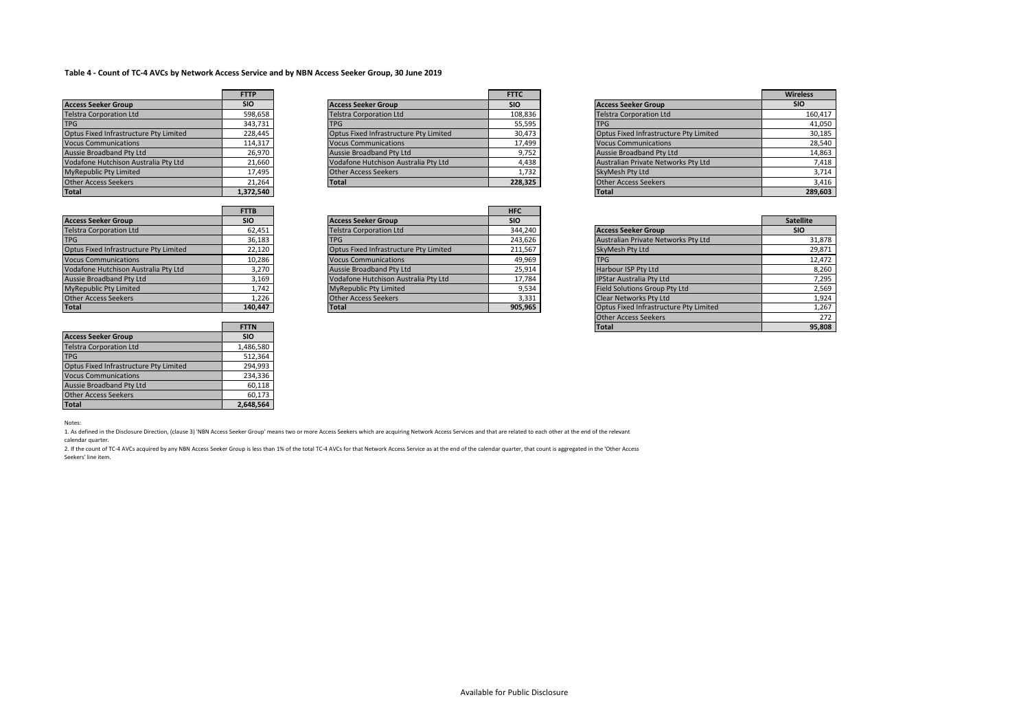# **Table 4 - Count of TC-4 AVCs by Network Access Service and by NBN Access Seeker Group, 30 June 2019**

|                                        | <b>FTTP</b> |
|----------------------------------------|-------------|
| <b>Access Seeker Group</b>             | <b>SIO</b>  |
| <b>Telstra Corporation Ltd</b>         | 598,658     |
| <b>TPG</b>                             | 343,731     |
| Optus Fixed Infrastructure Pty Limited | 228.445     |
| <b>Vocus Communications</b>            | 114,317     |
| Aussie Broadband Pty Ltd               | 26,970      |
| Vodafone Hutchison Australia Pty Ltd   | 21,660      |
| MyRepublic Pty Limited                 | 17,495      |
| <b>Other Access Seekers</b>            | 21,264      |
| <b>Total</b>                           | 1.372.540   |

|                                        | <b>FTTP</b>                         |                                        | <b>FTTC</b> |                                        | Wirel      |
|----------------------------------------|-------------------------------------|----------------------------------------|-------------|----------------------------------------|------------|
| <b>Access Seeker Group</b>             | <b>SIO</b>                          | <b>Access Seeker Group</b>             | <b>SIO</b>  | <b>Access Seeker Group</b>             | <b>SIC</b> |
| <b>Telstra Corporation Ltd</b>         | 598,658                             | <b>Telstra Corporation Ltd</b>         | 108,836     | <b>Telstra Corporation Ltd</b>         |            |
| <b>TPG</b>                             | 343,731                             | <b>TPG</b>                             | 55,595      | <b>TPG</b>                             |            |
| Optus Fixed Infrastructure Pty Limited | 228.445                             | Optus Fixed Infrastructure Pty Limited | 30,473      | Optus Fixed Infrastructure Pty Limited |            |
| <b>Vocus Communications</b>            | 114.317                             | <b>Vocus Communications</b>            | 17,499      | <b>Vocus Communications</b>            |            |
| <b>Aussie Broadband Pty Ltd</b>        | 26.970                              | Aussie Broadband Pty Ltd               | 9,752       | Aussie Broadband Pty Ltd               |            |
| Vodafone Hutchison Australia Pty Ltd   | 21,660                              | Vodafone Hutchison Australia Pty Ltd   | 4,438       | Australian Private Networks Pty Ltd    |            |
| MyRepublic Pty Limited                 | 17,495                              | <b>Other Access Seekers</b>            | 1,732       | SkyMesh Pty Ltd                        |            |
| <b>Other Access Seekers</b>            | 21.264                              | <b>Total</b>                           | 228,325     | <b>Other Access Seekers</b>            |            |
|                                        | the contract of the contract of the |                                        |             |                                        |            |

|                                        | <b>FTTP</b> |                                        | <b>FTTC</b> |                                        | <b>Wireless</b> |
|----------------------------------------|-------------|----------------------------------------|-------------|----------------------------------------|-----------------|
| <b>Access Seeker Group</b>             | <b>SIO</b>  | <b>Access Seeker Group</b>             | <b>SIO</b>  | <b>Access Seeker Group</b>             | <b>SIO</b>      |
| <b>Telstra Corporation Ltd</b>         | 598,658     | <b>Telstra Corporation Ltd</b>         | 108,836     | <b>Telstra Corporation Ltd</b>         | 160,417         |
| <b>TPG</b>                             | 343,731     | <b>TPG</b>                             | 55,595      | <b>TPG</b>                             | 41,050          |
| Optus Fixed Infrastructure Pty Limited | 228.445     | Optus Fixed Infrastructure Pty Limited | 30,473      | Optus Fixed Infrastructure Pty Limited | 30,185          |
| <b>Vocus Communications</b>            | 114,317     | <b>Vocus Communications</b>            | 17,499      | <b>Vocus Communications</b>            | 28,540          |
| Aussie Broadband Pty Ltd               | 26,970      | Aussie Broadband Pty Ltd               | 9,752       | Aussie Broadband Pty Ltd               | 14,863          |
| Vodafone Hutchison Australia Pty Ltd   | 21,660      | Vodafone Hutchison Australia Pty Ltd   | 4,438       | Australian Private Networks Pty Ltd    | 7,418           |
| MyRepublic Pty Limited                 | 17,495      | <b>Other Access Seekers</b>            | 1,732       | SkyMesh Pty Ltd                        | 3,714           |
| <b>Other Access Seekers</b>            | 21.264      | <b>Total</b>                           | 228,325     | <b>Other Access Seekers</b>            | 3,416           |
| Total                                  | 1,372,540   |                                        |             | <b>Total</b>                           | 289,603         |

|                                        | <b>FTTB</b> |                                        | <b>HFC</b> |                                        |                  |
|----------------------------------------|-------------|----------------------------------------|------------|----------------------------------------|------------------|
| <b>Access Seeker Group</b>             | <b>SIO</b>  | <b>Access Seeker Group</b>             | <b>SIO</b> |                                        | <b>Satellite</b> |
| <b>Telstra Corporation Ltd</b>         | 62,451      | <b>Telstra Corporation Ltd</b>         | 344.240    | <b>Access Seeker Group</b>             | <b>SIO</b>       |
| <b>TPG</b>                             | 36,183      |                                        | 243,626    | Australian Private Networks Pty Ltd    |                  |
| Optus Fixed Infrastructure Pty Limited | 22,120      | Optus Fixed Infrastructure Pty Limited | 211,567    | SkyMesh Pty Ltd                        |                  |
| <b>Vocus Communications</b>            | 10,286      | <b>Vocus Communications</b>            | 49,969     | <b>TPG</b>                             |                  |
| Vodafone Hutchison Australia Pty Ltd   | 3,270       | Aussie Broadband Pty Ltd               | 25,914     | Harbour ISP Pty Ltd                    |                  |
| Aussie Broadband Pty Ltd               | 3,169       | Vodafone Hutchison Australia Pty Ltd   | 17,784     | <b>IPStar Australia Pty Ltd</b>        |                  |
| MyRepublic Pty Limited                 | 1,742       | MyRepublic Pty Limited                 | 9,534      | Field Solutions Group Pty Ltd          |                  |
| Other Access Seekers                   | 1,226       | <b>Other Access Seekers</b>            | 3,331      | <b>Clear Networks Pty Ltd</b>          |                  |
| Total                                  | 140,447     | <b>Total</b>                           | 905,965    | Optus Fixed Infrastructure Pty Limited |                  |
|                                        |             |                                        |            |                                        |                  |

| <b>Access Seeker Group</b>             | <b>SIO</b>  | <b>Access Seeker Group</b>             | <b>SIO</b> |                                        | <b>Satellite</b> |
|----------------------------------------|-------------|----------------------------------------|------------|----------------------------------------|------------------|
| <b>Telstra Corporation Ltd</b>         | 62,451      | <b>Telstra Corporation Ltd</b>         | 344,240    | <b>Access Seeker Group</b>             | <b>SIO</b>       |
| <b>TPG</b>                             | 36.183      | <b>TPG</b>                             | 243.626    | Australian Private Networks Pty Ltd    | 31,878           |
| Optus Fixed Infrastructure Pty Limited | 22,120      | Optus Fixed Infrastructure Pty Limited | 211,567    | SkyMesh Pty Ltd                        | 29,871           |
| <b>Vocus Communications</b>            | 10,286      | <b>Vocus Communications</b>            | 49,969     | <b>TPG</b>                             | 12,472           |
| Vodafone Hutchison Australia Pty Ltd   | 3,270       | Aussie Broadband Pty Ltd               | 25,914     | Harbour ISP Pty Ltd                    | 8,260            |
| Aussie Broadband Pty Ltd               | 3,169       | Vodafone Hutchison Australia Pty Ltd   | 17,784     | <b>IPStar Australia Pty Ltd</b>        | 7,295            |
| MyRepublic Pty Limited                 | 1.742       | <b>MyRepublic Pty Limited</b>          | 9,534      | Field Solutions Group Pty Ltd          | 2,569            |
| Other Access Seekers                   | 1,226       | <b>Other Access Seekers</b>            | 3,331      | <b>Clear Networks Pty Ltd</b>          | 1,924            |
| Total                                  | 140,447     | <b>Total</b>                           | 905,965    | Optus Fixed Infrastructure Pty Limited | 1,267            |
|                                        |             |                                        |            | <b>Other Access Seekers</b>            | 272              |
|                                        | <b>FTTN</b> |                                        |            | <b>Total</b>                           | 95,808           |

|                                        | <b>FTTN</b> |
|----------------------------------------|-------------|
| <b>Access Seeker Group</b>             | <b>SIO</b>  |
| <b>Telstra Corporation Ltd</b>         | 1,486,580   |
| <b>TPG</b>                             | 512.364     |
| Optus Fixed Infrastructure Pty Limited | 294,993     |
| <b>Vocus Communications</b>            | 234,336     |
| <b>Aussie Broadband Pty Ltd</b>        | 60,118      |
| <b>Other Access Seekers</b>            | 60,173      |
| <b>Total</b>                           | 2.648.564   |

#### Notes:

1. As defined in the Disclosure Direction, (clause 3) 'NBN Access Seeker Group' means two or more Access Seekers which are acquiring Network Access Services and that are related to each other at the end of the relevant calendar quarter.

2. If the count of TC-4 AVCs acquired by any NBN Access Seeker Group is less than 1% of the total TC-4 AVCs for that Network Access Service as at the end of the calendar quarter, that count is aggregated in the 'Other Access Seekers' line item.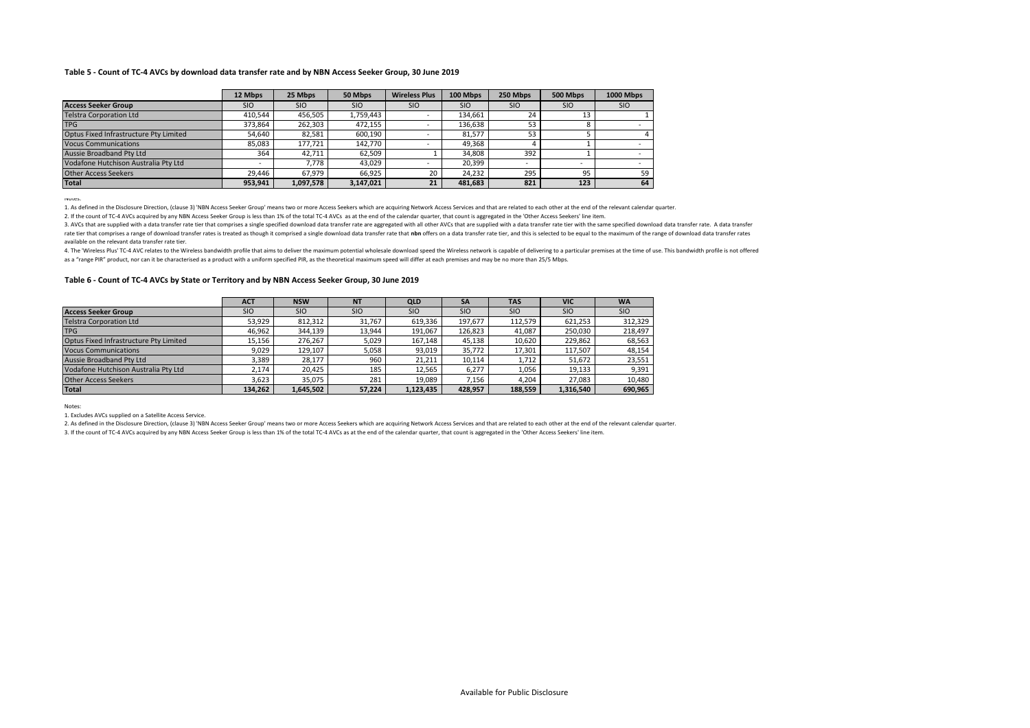#### **Table 5 - Count of TC-4 AVCs by download data transfer rate and by NBN Access Seeker Group, 30 June 2019**

|                                        | 12 Mbps    | 25 Mbps    | 50 Mbps    | <b>Wireless Plus</b>     | 100 Mbps   | 250 Mbps   | 500 Mbps   | 1000 Mbps  |
|----------------------------------------|------------|------------|------------|--------------------------|------------|------------|------------|------------|
| <b>Access Seeker Group</b>             | <b>SIO</b> | <b>SIO</b> | <b>SIO</b> | <b>SIO</b>               | <b>SIO</b> | <b>SIO</b> | <b>SIO</b> | <b>SIO</b> |
| <b>Telstra Corporation Ltd</b>         | 410.544    | 456.505    | 1,759,443  |                          | 134.661    | 24         | 13         |            |
| <b>TPG</b>                             | 373.864    | 262,303    | 472,155    |                          | 136.638    | 53         |            |            |
| Optus Fixed Infrastructure Pty Limited | 54.640     | 82.581     | 600,190    |                          | 81.577     | 53         |            |            |
| <b>Vocus Communications</b>            | 85.083     | 177.721    | 142.770    | $\overline{\phantom{a}}$ | 49.368     |            |            |            |
| Aussie Broadband Pty Ltd               | 364        | 42.711     | 62.509     |                          | 34.808     | 392        |            |            |
| Vodafone Hutchison Australia Pty Ltd   |            | 7.778      | 43.029     | ۰                        | 20.399     |            | -          |            |
| <b>Other Access Seekers</b>            | 29.446     | 67.979     | 66.925     | 20                       | 24.232     | 295        | 95         | 59         |
| <b>Total</b>                           | 953,941    | 1,097,578  | 3,147,021  | 21                       | 481.683    | 821        | 123        | 64         |

Notes:

1. As defined in the Disclosure Direction, (clause 3) 'NBN Access Seeker Group' means two or more Access Seekers which are acquiring Network Access Services and that are related to each other at the end of the relevant cal

2. If the count of TC-4 AVCs acquired by any NBN Access Seeker Group is less than 1% of the total TC-4 AVCs as at the end of the calendar quarter, that count is aggregated in the 'Other Access Seekers' line item.

3. AVCs that are supplied with a data transfer rate tier that comprises a single specified download data transfer rate are aggregated with all other AVCs that are supplied with a data transfer rate tier with the same speci rate tier that comprises a range of download transfer rates is treated as though it comprised a single download data transfer rate that nbn offers on a data transfer rate tier, and this is selected to be equal to the maxim available on the relevant data transfer rate tier.

4. The 'Wireless Plus' TC-4 AVC relates to the Wireless bandwidth profile that aims to deliver the maximum potential wholesale download speed the Wireless network is capable of delivering to a particular premises at the ti as a "range PIR" product, nor can it be characterised as a product with a uniform specified PIR, as the theoretical maximum speed will differ at each premises and may be no more than 25/5 Mbps.

#### **Table 6 - Count of TC-4 AVCs by State or Territory and by NBN Access Seeker Group, 30 June 2019**

|                                        | <b>ACT</b> | <b>NSW</b> | <b>NT</b>  | <b>QLD</b> | <b>SA</b>  | <b>TAS</b> | <b>VIC</b> | <b>WA</b>  |
|----------------------------------------|------------|------------|------------|------------|------------|------------|------------|------------|
| <b>Access Seeker Group</b>             | <b>SIO</b> | <b>SIO</b> | <b>SIO</b> | <b>SIO</b> | <b>SIO</b> | <b>SIO</b> | <b>SIO</b> | <b>SIO</b> |
| <b>Telstra Corporation Ltd</b>         | 53,929     | 812,312    | 31,767     | 619,336    | 197,677    | 112,579    | 621,253    | 312,329    |
| <b>TPG</b>                             | 46.962     | 344.139    | 13.944     | 191.067    | 126.823    | 41.087     | 250,030    | 218,497    |
| Optus Fixed Infrastructure Pty Limited | 15,156     | 276,267    | 5,029      | 167,148    | 45,138     | 10,620     | 229,862    | 68,563     |
| <b>Vocus Communications</b>            | 9,029      | 129,107    | 5,058      | 93,019     | 35,772     | 17,301     | 117,507    | 48,154     |
| <b>Aussie Broadband Ptv Ltd</b>        | 3,389      | 28.177     | 960        | 21,211     | 10,114     | 1,712      | 51,672     | 23,551     |
| Vodafone Hutchison Australia Pty Ltd   | 2.174      | 20.425     | 185        | 12,565     | 6,277      | 1,056      | 19,133     | 9,391      |
| <b>Other Access Seekers</b>            | 3.623      | 35.075     | 281        | 19.089     | 7.156      | 4.204      | 27.083     | 10,480     |
| <b>Total</b>                           | 134.262    | 1.645.502  | 57.224     | 1.123.435  | 428.957    | 188.559    | 1,316,540  | 690,965    |

Notes:

1. Excludes AVCs supplied on a Satellite Access Service.

2. As defined in the Disclosure Direction, (clause 3) 'NBN Access Seeker Group' means two or more Access Seekers which are acquiring Network Access Services and that are related to each other at the end of the relevant cal

3. If the count of TC-4 AVCs acquired by any NBN Access Seeker Group is less than 1% of the total TC-4 AVCs as at the end of the calendar quarter, that count is aggregated in the 'Other Access Seekers' line item.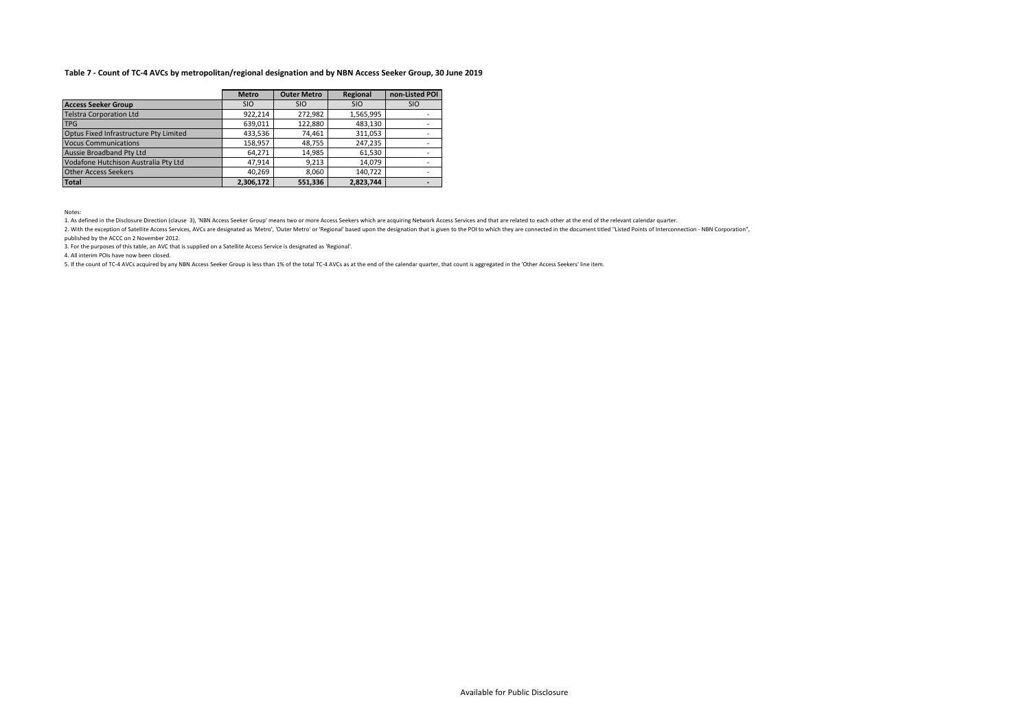# **Table 7 - Count of TC-4 AVCs by metropolitan/regional designation and by NBN Access Seeker Group, 30 June 2019**

|                                        | <b>Metro</b> | <b>Outer Metro</b> | Regional   | non-Listed POI |
|----------------------------------------|--------------|--------------------|------------|----------------|
| <b>Access Seeker Group</b>             | <b>SIO</b>   | <b>SIO</b>         | <b>SIO</b> | <b>SIO</b>     |
| <b>Telstra Corporation Ltd</b>         | 922.214      | 272.982            | 1,565,995  |                |
| <b>TPG</b>                             | 639.011      | 122,880            | 483.130    |                |
| Optus Fixed Infrastructure Pty Limited | 433,536      | 74.461             | 311,053    |                |
| <b>Vocus Communications</b>            | 158.957      | 48,755             | 247,235    |                |
| Aussie Broadband Pty Ltd               | 64.271       | 14,985             | 61.530     |                |
| Vodafone Hutchison Australia Pty Ltd   | 47.914       | 9,213              | 14.079     |                |
| <b>Other Access Seekers</b>            | 40.269       | 8,060              | 140.722    |                |
| <b>Total</b>                           | 2,306,172    | 551,336            | 2,823,744  |                |

Notes:

1. As defined in the Disclosure Direction (clause 3), 'NBN Access Seeker Group' means two or more Access Seekers which are acquiring Network Access Services and that are related to each other at the end of the relevant cal

2. With the exception of Satellite Access Services, AVCs are designated as 'Metro', 'Outer Metro' o' Itegional' based upon the designation that is given to the POI to which they are connected in the document titled "Listed published by the ACCC on 2 November 2012.

3. For the purposes of this table, an AVC that is supplied on a Satellite Access Service is designated as 'Regional'.

4. All interim POIs have now been closed.

5. If the count of TC-4 AVCs acquired by any NBN Access Seeker Group is less than 1% of the total TC-4 AVCs as at the end of the calendar quarter, that count is aggregated in the 'Other Access Seekers' line item.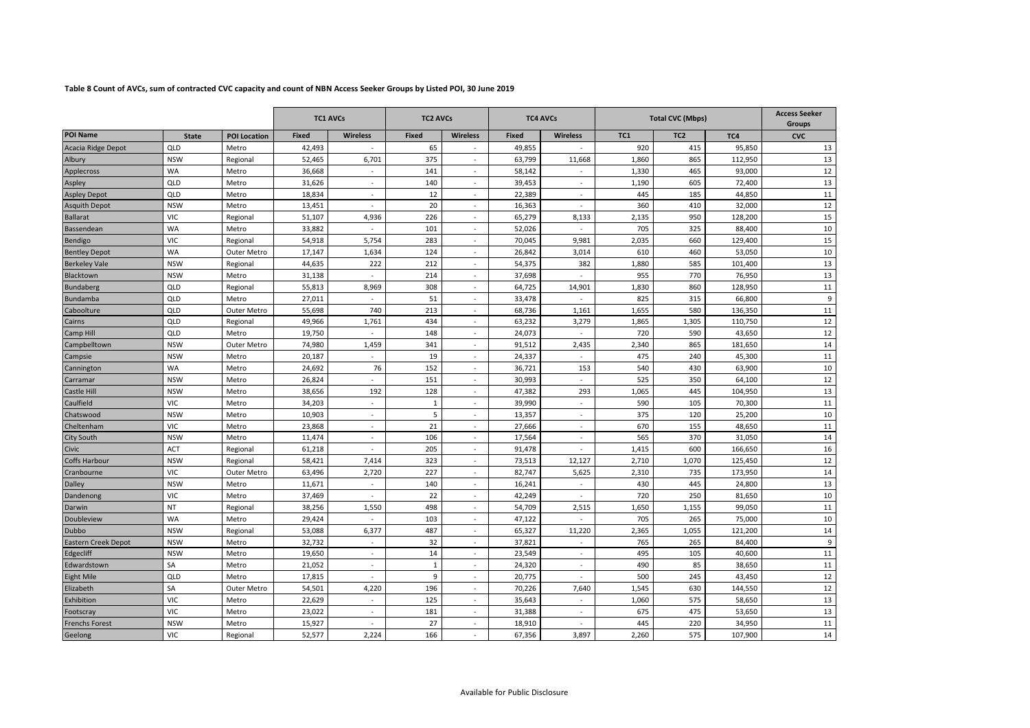# **Table 8 Count of AVCs, sum of contracted CVC capacity and count of NBN Access Seeker Groups by Listed POI, 30 June 2019**

|                            |              | <b>TC1 AVCs</b>     |              | <b>TC2 AVCs</b>          |              | <b>TC4 AVCs</b>          |              | <b>Total CVC (Mbps)</b>  |       |                 | <b>Access Seeker</b><br><b>Groups</b> |            |
|----------------------------|--------------|---------------------|--------------|--------------------------|--------------|--------------------------|--------------|--------------------------|-------|-----------------|---------------------------------------|------------|
| <b>POI Name</b>            | <b>State</b> | <b>POI Location</b> | <b>Fixed</b> | <b>Wireless</b>          | <b>Fixed</b> | <b>Wireless</b>          | <b>Fixed</b> | <b>Wireless</b>          | TC1   | TC <sub>2</sub> | TC4                                   | <b>CVC</b> |
| Acacia Ridge Depot         | QLD          | Metro               | 42,493       |                          | 65           |                          | 49,855       | $\overline{\phantom{a}}$ | 920   | 415             | 95,850                                | 13         |
| Albury                     | <b>NSW</b>   | Regional            | 52.465       | 6,701                    | 375          | $\overline{\phantom{a}}$ | 63,799       | 11,668                   | 1,860 | 865             | 112.950                               | 13         |
| Applecross                 | <b>WA</b>    | Metro               | 36,668       | $\sim$                   | 141          | $\sim$                   | 58,142       | $\mathbf{r}$             | 1,330 | 465             | 93,000                                | 12         |
| Aspley                     | QLD          | Metro               | 31,626       | $\sim$                   | 140          | $\sim$                   | 39,453       | $\sim$                   | 1,190 | 605             | 72,400                                | 13         |
| <b>Aspley Depot</b>        | QLD          | Metro               | 18,834       | $\overline{\phantom{a}}$ | 12           | $\overline{\phantom{a}}$ | 22,389       | $\sim$                   | 445   | 185             | 44,850                                | 11         |
| <b>Asquith Depot</b>       | <b>NSW</b>   | Metro               | 13,451       | $\sim$                   | 20           | $\sim$                   | 16,363       | $\sim$                   | 360   | 410             | 32,000                                | 12         |
| <b>Ballarat</b>            | VIC.         | Regional            | 51.107       | 4,936                    | 226          | $\sim$                   | 65.279       | 8,133                    | 2.135 | 950             | 128.200                               | 15         |
| Bassendean                 | <b>WA</b>    | Metro               | 33,882       |                          | 101          | $\sim$                   | 52,026       |                          | 705   | 325             | 88,400                                | 10         |
| Bendigo                    | <b>VIC</b>   | Regional            | 54,918       | 5,754                    | 283          | $\sim$                   | 70.045       | 9,981                    | 2,035 | 660             | 129,400                               | 15         |
| <b>Bentley Depot</b>       | <b>WA</b>    | Outer Metro         | 17,147       | 1,634                    | 124          | $\sim$                   | 26,842       | 3,014                    | 610   | 460             | 53,050                                | 10         |
| <b>Berkeley Vale</b>       | <b>NSW</b>   | Regional            | 44,635       | 222                      | 212          | $\sim$                   | 54,375       | 382                      | 1,880 | 585             | 101,400                               | 13         |
| Blacktown                  | <b>NSW</b>   | Metro               | 31,138       | $\sim$                   | 214          | $\sim$                   | 37,698       | $\sim$                   | 955   | 770             | 76,950                                | 13         |
| <b>Bundaberg</b>           | QLD          | Regional            | 55,813       | 8,969                    | 308          | $\sim$                   | 64,725       | 14,901                   | 1,830 | 860             | 128,950                               | 11         |
| Bundamba                   | QLD          | Metro               | 27,011       | $\sim$                   | 51           | $\overline{\phantom{a}}$ | 33,478       | $\sim$                   | 825   | 315             | 66,800                                | 9          |
| Caboolture                 | QLD          | Outer Metro         | 55,698       | 740                      | 213          | $\sim$                   | 68,736       | 1,161                    | 1,655 | 580             | 136,350                               | 11         |
| Cairns                     | QLD          | Regional            | 49,966       | 1,761                    | 434          | $\sim$                   | 63,232       | 3,279                    | 1,865 | 1,305           | 110,750                               | 12         |
| Camp Hill                  | QLD          | Metro               | 19,750       | ÷                        | 148          | $\sim$                   | 24,073       | $\sim$                   | 720   | 590             | 43.650                                | 12         |
| Campbelltown               | <b>NSW</b>   | Outer Metro         | 74,980       | 1,459                    | 341          | $\overline{\phantom{a}}$ | 91,512       | 2,435                    | 2,340 | 865             | 181,650                               | 14         |
| Campsie                    | <b>NSW</b>   | Metro               | 20,187       | $\sim$                   | 19           | $\sim$                   | 24,337       | $\sim$                   | 475   | 240             | 45,300                                | 11         |
| Cannington                 | <b>WA</b>    | Metro               | 24,692       | 76                       | 152          | $\sim$                   | 36,721       | 153                      | 540   | 430             | 63,900                                | 10         |
| Carramar                   | <b>NSW</b>   | Metro               | 26,824       | $\omega$                 | 151          | ä,                       | 30,993       | $\omega$                 | 525   | 350             | 64,100                                | 12         |
| <b>Castle Hill</b>         | <b>NSW</b>   | Metro               | 38,656       | 192                      | 128          | $\sim$                   | 47,382       | 293                      | 1,065 | 445             | 104,950                               | 13         |
| Caulfield                  | <b>VIC</b>   | Metro               | 34,203       | $\sim$                   | 1            | $\sim$                   | 39,990       | $\sim$                   | 590   | 105             | 70,300                                | 11         |
| Chatswood                  | <b>NSW</b>   | Metro               | 10,903       | $\mathbf{r}$             | 5            | $\sim$                   | 13,357       | $\sim$                   | 375   | 120             | 25,200                                | 10         |
| Cheltenham                 | VIC          | Metro               | 23,868       | $\overline{\phantom{a}}$ | 21           | $\sim$                   | 27,666       | $\overline{\phantom{a}}$ | 670   | 155             | 48,650                                | 11         |
| City South                 | <b>NSW</b>   | Metro               | 11,474       | $\sim$                   | 106          | $\overline{\phantom{a}}$ | 17,564       | $\sim$                   | 565   | 370             | 31,050                                | 14         |
| Civic                      | <b>ACT</b>   | Regional            | 61,218       | $\sim$                   | 205          | $\sim$                   | 91,478       | $\sim$                   | 1,415 | 600             | 166,650                               | 16         |
| Coffs Harbour              | <b>NSW</b>   | Regional            | 58,421       | 7,414                    | 323          | $\omega$                 | 73,513       | 12,127                   | 2,710 | 1,070           | 125,450                               | 12         |
| Cranbourne                 | <b>VIC</b>   | Outer Metro         | 63,496       | 2,720                    | 227          | $\sim$                   | 82,747       | 5,625                    | 2,310 | 735             | 173,950                               | 14         |
| <b>Dalley</b>              | <b>NSW</b>   | Metro               | 11,671       | $\sim$                   | 140          | $\sim$                   | 16,241       | $\sim$                   | 430   | 445             | 24,800                                | 13         |
| Dandenong                  | <b>VIC</b>   | Metro               | 37,469       | $\overline{\phantom{a}}$ | 22           | $\sim$                   | 42,249       | $\sim$                   | 720   | 250             | 81,650                                | 10         |
| Darwin                     | <b>NT</b>    | Regional            | 38,256       | 1,550                    | 498          | $\sim$                   | 54,709       | 2,515                    | 1,650 | 1.155           | 99,050                                | 11         |
| Doubleview                 | <b>WA</b>    | Metro               | 29,424       | $\sim$                   | 103          | $\sim$                   | 47,122       | $\overline{\phantom{a}}$ | 705   | 265             | 75,000                                | 10         |
| Dubbo                      | <b>NSW</b>   | Regional            | 53,088       | 6,377                    | 487          | ä,                       | 65,327       | 11,220                   | 2,365 | 1,055           | 121,200                               | 14         |
| <b>Eastern Creek Depot</b> | <b>NSW</b>   | Metro               | 32,732       | $\sim$                   | 32           | $\overline{\phantom{a}}$ | 37,821       | $\sim$                   | 765   | 265             | 84,400                                | 9          |
| Edgecliff                  | <b>NSW</b>   | Metro               | 19,650       | $\omega$                 | 14           | $\sim$                   | 23,549       | $\sim$                   | 495   | 105             | 40,600                                | 11         |
| Edwardstown                | SA           | Metro               | 21,052       | $\sim$                   | 1            | $\sim$                   | 24,320       | $\sim$                   | 490   | 85              | 38,650                                | 11         |
| <b>Eight Mile</b>          | QLD          | Metro               | 17,815       |                          | 9            | ä,                       | 20,775       |                          | 500   | 245             | 43,450                                | 12         |
| Elizabeth                  | SA           | Outer Metro         | 54,501       | 4,220                    | 196          | $\sim$                   | 70,226       | 7,640                    | 1,545 | 630             | 144,550                               | 12         |
| Exhibition                 | <b>VIC</b>   | Metro               | 22,629       | $\sim$                   | 125          | $\sim$                   | 35,643       | $\sim$                   | 1,060 | 575             | 58,650                                | 13         |
| Footscray                  | <b>VIC</b>   | Metro               | 23,022       | $\sim$                   | 181          | $\sim$                   | 31,388       | $\sim$                   | 675   | 475             | 53,650                                | 13         |
| Frenchs Forest             | <b>NSW</b>   | Metro               | 15,927       | $\sim$                   | 27           | $\sim$                   | 18,910       | $\sim$                   | 445   | 220             | 34,950                                | 11         |
|                            |              |                     |              |                          |              |                          |              |                          |       |                 |                                       |            |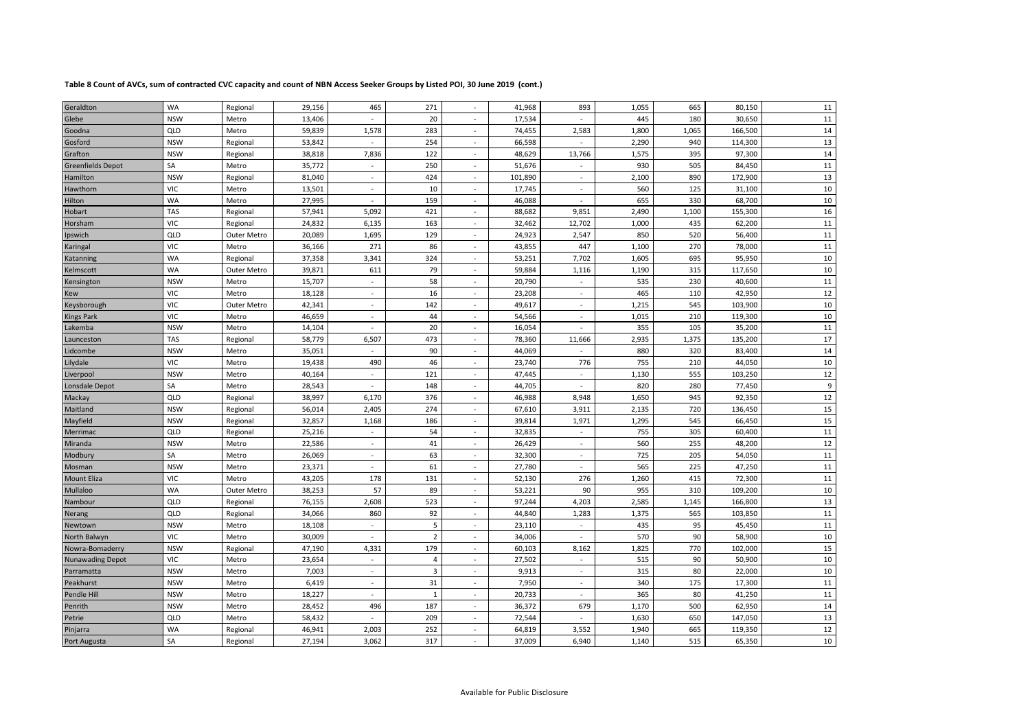# **Table 8 Count of AVCs, sum of contracted CVC capacity and count of NBN Access Seeker Groups by Listed POI, 30 June 2019 (cont.)**

| WA<br>271<br>11<br>29,156<br>465<br>41,968<br>893<br>1,055<br>665<br>Regional<br>80,150<br>Geraldton<br>$\sim$<br>20<br>11<br><b>NSW</b><br>13,406<br>17,534<br>445<br>180<br>30,650<br>Glebe<br>Metro<br>$\sim$<br>$\sim$<br>$\sim$<br>14<br>QLD<br>283<br>1,800<br>59,839<br>1,578<br>74,455<br>2,583<br>1,065<br>166,500<br>Metro<br>Goodna<br>$\sim$<br>13<br>254<br>2,290<br><b>NSW</b><br>53,842<br>66,598<br>940<br>114,300<br>Gosford<br>Regional<br>$\overline{\phantom{a}}$<br>14<br><b>NSW</b><br>38,818<br>7,836<br>122<br>48,629<br>13,766<br>1,575<br>395<br>97,300<br>Grafton<br>Regional<br>$\overline{\phantom{a}}$<br>11<br>SА<br>35,772<br>250<br>51,676<br>930<br>505<br>84,450<br><b>Greenfields Depot</b><br>Metro<br>$\sim$<br>$\sim$<br>$\sim$<br>13<br>424<br><b>NSW</b><br>81,040<br>101,890<br>2,100<br>890<br>172,900<br>Hamilton<br>Regional<br>$\sim$<br>$\omega$<br>$\sim$<br>10<br>10<br>560<br><b>VIC</b><br>13,501<br>17,745<br>125<br>31,100<br>Hawthorn<br>Metro<br>$\omega$<br>$\sim$<br>$\sim$<br>WA<br>10<br>27,995<br>159<br>46,088<br>655<br>330<br>68,700<br>Hilton<br>Metro<br>$\omega$<br>$\overline{\phantom{a}}$<br>$\sim$<br>TAS<br>16<br>57,941<br>5,092<br>421<br>88,682<br>9,851<br>2,490<br>1,100<br>155,300<br>Hobart<br>Regional<br>11<br><b>VIC</b><br>163<br>24,832<br>6,135<br>32,462<br>12,702<br>1,000<br>435<br>62,200<br>Horsham<br>Regional<br>11<br>QLD<br>20,089<br>1,695<br>129<br>24,923<br>2,547<br>850<br>520<br>56,400<br>Ipswich<br>Outer Metro<br>$\sim$<br>11<br><b>VIC</b><br>36,166<br>271<br>86<br>43,855<br>447<br>270<br>1,100<br>78,000<br>Metro<br>Karingal<br>$\overline{\phantom{a}}$<br>WA<br>324<br>1,605<br>10<br>37,358<br>3,341<br>53,251<br>7,702<br>695<br>95,950<br>Regional<br>$\overline{\phantom{a}}$<br>Katanning<br>10<br>WA<br>39,871<br>79<br>1,190<br>611<br>59,884<br>1,116<br>315<br>117,650<br>Kelmscott<br>Outer Metro<br>$\overline{\phantom{a}}$<br><b>NSW</b><br>58<br>230<br>11<br>15,707<br>20,790<br>535<br>40,600<br>Metro<br>Kensington<br>$\blacksquare$<br>$\blacksquare$<br>12<br><b>VIC</b><br>16<br>465<br>18,128<br>23,208<br>110<br>42,950<br>Metro<br>Kew<br>$\sim$<br>$\sim$<br>$\overline{\phantom{a}}$<br>142<br>10<br><b>VIC</b><br>42,341<br>49,617<br>1,215<br>545<br>103,900<br>Keysborough<br>Outer Metro<br>$\sim$<br>$\sim$<br>$\sim$<br><b>VIC</b><br>44<br>1,015<br>10<br>46,659<br>54,566<br>210<br>119,300<br><b>Kings Park</b><br>Metro<br>$\sim$<br>$\overline{\phantom{a}}$<br>$\sim$<br>11<br>20<br>355<br><b>NSW</b><br>14,104<br>16,054<br>105<br>35,200<br>Lakemba<br>Metro<br>$\overline{\phantom{a}}$<br>$\overline{\phantom{a}}$<br>$\overline{\phantom{a}}$<br>TAS<br>473<br>2,935<br>17<br>58,779<br>6,507<br>78,360<br>11,666<br>1,375<br>135,200<br>Regional<br>Launceston<br>$\sim$<br><b>NSW</b><br>90<br>14<br>35,051<br>44,069<br>880<br>320<br>83,400<br>Metro<br>Lidcombe<br>10<br><b>VIC</b><br>46<br>755<br>210<br>19,438<br>490<br>23,740<br>776<br>44,050<br>Lilydale<br>Metro<br>$\overline{\phantom{a}}$<br>121<br>1,130<br>12<br><b>NSW</b><br>Metro<br>40,164<br>47,445<br>555<br>103,250<br>Liverpool<br>$\sim$<br>$\sim$<br>$\sim$<br>9<br>SA<br>148<br>820<br>28,543<br>44,705<br>280<br>77,450<br>Lonsdale Depot<br>Metro<br>$\sim$<br>$\sim$<br>$\sim$<br>376<br>$12\,$<br>QLD<br>38,997<br>1,650<br>945<br>92,350<br>6,170<br>46,988<br>8,948<br>Mackay<br>Regional<br>$\sim$<br>15<br><b>NSW</b><br>56,014<br>2,405<br>274<br>67,610<br>3,911<br>2,135<br>720<br>136,450<br>Maitland<br>Regional<br>$\sim$<br>15<br><b>NSW</b><br>186<br>1,295<br>32,857<br>1,168<br>39,814<br>1,971<br>545<br>66,450<br>Mayfield<br>Regional<br>$\sim$<br>$11\,$<br>QLD<br>25,216<br>54<br>755<br>305<br>32,835<br>60,400<br>Merrimac<br>Regional<br>$\blacksquare$<br>$\overline{\phantom{a}}$<br>$\overline{\phantom{a}}$<br>12<br><b>NSW</b><br>22,586<br>41<br>26,429<br>560<br>255<br>48,200<br>Miranda<br>Metro<br>$\overline{\phantom{a}}$<br>$\sim$<br>SA<br>11<br>26,069<br>63<br>725<br>205<br>Metro<br>32,300<br>54,050<br>Modbury<br>$\sim$<br>$\sim$<br>$\sim$<br>11<br>23,371<br>61<br>565<br><b>NSW</b><br>27,780<br>225<br>47,250<br>Mosman<br>Metro<br>$\omega$<br>$\sim$<br>$\sim$<br>131<br>11<br><b>VIC</b><br>43,205<br>178<br>52,130<br>276<br>1,260<br>415<br>72,300<br><b>Mount Eliza</b><br>Metro<br>$\sim$<br>WA<br>57<br>10<br>38,253<br>89<br>53,221<br>90<br>955<br>310<br>109,200<br>Mullaloo<br>Outer Metro<br>$\sim$<br>523<br>13<br>QLD<br>76,155<br>2,608<br>4,203<br>2,585<br>97,244<br>1,145<br>166,800<br>Nambour<br>Regional<br>$\overline{\phantom{a}}$<br>QLD<br>11<br>34,066<br>860<br>92<br>44,840<br>1,283<br>1,375<br>565<br>103,850<br>Regional<br>Nerang<br>$\overline{\phantom{a}}$<br>11<br>5<br><b>NSW</b><br>18,108<br>23,110<br>435<br>95<br>Metro<br>45,450<br>Newtown<br>$\omega$<br>$\sim$<br>$\sim$<br>$\overline{2}$<br>$10\,$<br><b>VIC</b><br>30,009<br>570<br>90<br>34,006<br>58,900<br>North Balwyn<br>Metro<br>$\omega$<br>$\sim$<br>$\sim$<br>15<br><b>NSW</b><br>47,190<br>179<br>60,103<br>1,825<br>770<br>Nowra-Bomaderry<br>Regional<br>4,331<br>8,162<br>102,000<br>$\overline{\phantom{a}}$<br>10<br><b>VIC</b><br>23,654<br>27,502<br>515<br>90<br>50,900<br>$\overline{4}$<br>Metro<br>$\blacksquare$<br><b>Nunawading Depot</b><br>$\blacksquare$<br>$\sim$<br>$\overline{3}$<br>10<br><b>NSW</b><br>7,003<br>9,913<br>315<br>80<br>Metro<br>22,000<br>Parramatta<br>$\sim$<br>$\overline{\phantom{a}}$<br>$\sim$<br>31<br>7,950<br>175<br>11<br><b>NSW</b><br>6,419<br>340<br>17,300<br>Peakhurst<br>Metro<br>$\sim$<br>$\overline{\phantom{a}}$<br>$\sim$<br>11<br>18,227<br>20,733<br>365<br>80<br>Pendle Hill<br><b>NSW</b><br>$\mathbf{1}$<br>41,250<br>Metro<br>$\sim$<br>$\sim$<br>$\sim$<br>14<br>187<br><b>NSW</b><br>28,452<br>36,372<br>679<br>1,170<br>500<br>62,950<br>Penrith<br>Metro<br>496<br>$\sim$<br>13<br>QLD<br>58,432<br>209<br>72,544<br>1,630<br>650<br>147,050<br>Petrie<br>Metro<br>$\sim$<br>$\overline{\phantom{a}}$<br>$\sim$<br>$12\,$<br>WA<br>252<br>46,941<br>2,003<br>64,819<br>3,552<br>1,940<br>665<br>119,350<br>Pinjarra<br>Regional<br>$\blacksquare$<br>$10\,$<br>SA<br>27,194<br>3,062<br>317<br>37,009<br>6,940<br>1,140<br>515<br>65,350<br>Regional<br>Port Augusta |  |  |  |  |  |  |  |
|-----------------------------------------------------------------------------------------------------------------------------------------------------------------------------------------------------------------------------------------------------------------------------------------------------------------------------------------------------------------------------------------------------------------------------------------------------------------------------------------------------------------------------------------------------------------------------------------------------------------------------------------------------------------------------------------------------------------------------------------------------------------------------------------------------------------------------------------------------------------------------------------------------------------------------------------------------------------------------------------------------------------------------------------------------------------------------------------------------------------------------------------------------------------------------------------------------------------------------------------------------------------------------------------------------------------------------------------------------------------------------------------------------------------------------------------------------------------------------------------------------------------------------------------------------------------------------------------------------------------------------------------------------------------------------------------------------------------------------------------------------------------------------------------------------------------------------------------------------------------------------------------------------------------------------------------------------------------------------------------------------------------------------------------------------------------------------------------------------------------------------------------------------------------------------------------------------------------------------------------------------------------------------------------------------------------------------------------------------------------------------------------------------------------------------------------------------------------------------------------------------------------------------------------------------------------------------------------------------------------------------------------------------------------------------------------------------------------------------------------------------------------------------------------------------------------------------------------------------------------------------------------------------------------------------------------------------------------------------------------------------------------------------------------------------------------------------------------------------------------------------------------------------------------------------------------------------------------------------------------------------------------------------------------------------------------------------------------------------------------------------------------------------------------------------------------------------------------------------------------------------------------------------------------------------------------------------------------------------------------------------------------------------------------------------------------------------------------------------------------------------------------------------------------------------------------------------------------------------------------------------------------------------------------------------------------------------------------------------------------------------------------------------------------------------------------------------------------------------------------------------------------------------------------------------------------------------------------------------------------------------------------------------------------------------------------------------------------------------------------------------------------------------------------------------------------------------------------------------------------------------------------------------------------------------------------------------------------------------------------------------------------------------------------------------------------------------------------------------------------------------------------------------------------------------------------------------------------------------------------------------------------------------------------------------------------------------------------------------------------------------------------------------------------------------------------------------------------------------------------------------------------------------------------------------------------------------------------------------------------------------------------------------------------------------------------------------------------------------------------------------------------------------------------------------------------------------------------------------------------------------------------------------------------------------------------------------------------------------------------------------------------------------------------------------------------------------------------------------------------------------------------------------------------------------------------------------------------------------------------------------------------------------------------------------------------------------------------------------------------------------------------------------------------------------------------------------------------------------------------------------------------------------------------------------------------------------------------------------------------------------------------------------------------------------------------------------------------------|--|--|--|--|--|--|--|
|                                                                                                                                                                                                                                                                                                                                                                                                                                                                                                                                                                                                                                                                                                                                                                                                                                                                                                                                                                                                                                                                                                                                                                                                                                                                                                                                                                                                                                                                                                                                                                                                                                                                                                                                                                                                                                                                                                                                                                                                                                                                                                                                                                                                                                                                                                                                                                                                                                                                                                                                                                                                                                                                                                                                                                                                                                                                                                                                                                                                                                                                                                                                                                                                                                                                                                                                                                                                                                                                                                                                                                                                                                                                                                                                                                                                                                                                                                                                                                                                                                                                                                                                                                                                                                                                                                                                                                                                                                                                                                                                                                                                                                                                                                                                                                                                                                                                                                                                                                                                                                                                                                                                                                                                                                                                                                                                                                                                                                                                                                                                                                                                                                                                                                                                                                                                                                                                                                                                                                                                                                                                                                                                                                                                                                                                                                                                               |  |  |  |  |  |  |  |
|                                                                                                                                                                                                                                                                                                                                                                                                                                                                                                                                                                                                                                                                                                                                                                                                                                                                                                                                                                                                                                                                                                                                                                                                                                                                                                                                                                                                                                                                                                                                                                                                                                                                                                                                                                                                                                                                                                                                                                                                                                                                                                                                                                                                                                                                                                                                                                                                                                                                                                                                                                                                                                                                                                                                                                                                                                                                                                                                                                                                                                                                                                                                                                                                                                                                                                                                                                                                                                                                                                                                                                                                                                                                                                                                                                                                                                                                                                                                                                                                                                                                                                                                                                                                                                                                                                                                                                                                                                                                                                                                                                                                                                                                                                                                                                                                                                                                                                                                                                                                                                                                                                                                                                                                                                                                                                                                                                                                                                                                                                                                                                                                                                                                                                                                                                                                                                                                                                                                                                                                                                                                                                                                                                                                                                                                                                                                               |  |  |  |  |  |  |  |
|                                                                                                                                                                                                                                                                                                                                                                                                                                                                                                                                                                                                                                                                                                                                                                                                                                                                                                                                                                                                                                                                                                                                                                                                                                                                                                                                                                                                                                                                                                                                                                                                                                                                                                                                                                                                                                                                                                                                                                                                                                                                                                                                                                                                                                                                                                                                                                                                                                                                                                                                                                                                                                                                                                                                                                                                                                                                                                                                                                                                                                                                                                                                                                                                                                                                                                                                                                                                                                                                                                                                                                                                                                                                                                                                                                                                                                                                                                                                                                                                                                                                                                                                                                                                                                                                                                                                                                                                                                                                                                                                                                                                                                                                                                                                                                                                                                                                                                                                                                                                                                                                                                                                                                                                                                                                                                                                                                                                                                                                                                                                                                                                                                                                                                                                                                                                                                                                                                                                                                                                                                                                                                                                                                                                                                                                                                                                               |  |  |  |  |  |  |  |
|                                                                                                                                                                                                                                                                                                                                                                                                                                                                                                                                                                                                                                                                                                                                                                                                                                                                                                                                                                                                                                                                                                                                                                                                                                                                                                                                                                                                                                                                                                                                                                                                                                                                                                                                                                                                                                                                                                                                                                                                                                                                                                                                                                                                                                                                                                                                                                                                                                                                                                                                                                                                                                                                                                                                                                                                                                                                                                                                                                                                                                                                                                                                                                                                                                                                                                                                                                                                                                                                                                                                                                                                                                                                                                                                                                                                                                                                                                                                                                                                                                                                                                                                                                                                                                                                                                                                                                                                                                                                                                                                                                                                                                                                                                                                                                                                                                                                                                                                                                                                                                                                                                                                                                                                                                                                                                                                                                                                                                                                                                                                                                                                                                                                                                                                                                                                                                                                                                                                                                                                                                                                                                                                                                                                                                                                                                                                               |  |  |  |  |  |  |  |
|                                                                                                                                                                                                                                                                                                                                                                                                                                                                                                                                                                                                                                                                                                                                                                                                                                                                                                                                                                                                                                                                                                                                                                                                                                                                                                                                                                                                                                                                                                                                                                                                                                                                                                                                                                                                                                                                                                                                                                                                                                                                                                                                                                                                                                                                                                                                                                                                                                                                                                                                                                                                                                                                                                                                                                                                                                                                                                                                                                                                                                                                                                                                                                                                                                                                                                                                                                                                                                                                                                                                                                                                                                                                                                                                                                                                                                                                                                                                                                                                                                                                                                                                                                                                                                                                                                                                                                                                                                                                                                                                                                                                                                                                                                                                                                                                                                                                                                                                                                                                                                                                                                                                                                                                                                                                                                                                                                                                                                                                                                                                                                                                                                                                                                                                                                                                                                                                                                                                                                                                                                                                                                                                                                                                                                                                                                                                               |  |  |  |  |  |  |  |
|                                                                                                                                                                                                                                                                                                                                                                                                                                                                                                                                                                                                                                                                                                                                                                                                                                                                                                                                                                                                                                                                                                                                                                                                                                                                                                                                                                                                                                                                                                                                                                                                                                                                                                                                                                                                                                                                                                                                                                                                                                                                                                                                                                                                                                                                                                                                                                                                                                                                                                                                                                                                                                                                                                                                                                                                                                                                                                                                                                                                                                                                                                                                                                                                                                                                                                                                                                                                                                                                                                                                                                                                                                                                                                                                                                                                                                                                                                                                                                                                                                                                                                                                                                                                                                                                                                                                                                                                                                                                                                                                                                                                                                                                                                                                                                                                                                                                                                                                                                                                                                                                                                                                                                                                                                                                                                                                                                                                                                                                                                                                                                                                                                                                                                                                                                                                                                                                                                                                                                                                                                                                                                                                                                                                                                                                                                                                               |  |  |  |  |  |  |  |
|                                                                                                                                                                                                                                                                                                                                                                                                                                                                                                                                                                                                                                                                                                                                                                                                                                                                                                                                                                                                                                                                                                                                                                                                                                                                                                                                                                                                                                                                                                                                                                                                                                                                                                                                                                                                                                                                                                                                                                                                                                                                                                                                                                                                                                                                                                                                                                                                                                                                                                                                                                                                                                                                                                                                                                                                                                                                                                                                                                                                                                                                                                                                                                                                                                                                                                                                                                                                                                                                                                                                                                                                                                                                                                                                                                                                                                                                                                                                                                                                                                                                                                                                                                                                                                                                                                                                                                                                                                                                                                                                                                                                                                                                                                                                                                                                                                                                                                                                                                                                                                                                                                                                                                                                                                                                                                                                                                                                                                                                                                                                                                                                                                                                                                                                                                                                                                                                                                                                                                                                                                                                                                                                                                                                                                                                                                                                               |  |  |  |  |  |  |  |
|                                                                                                                                                                                                                                                                                                                                                                                                                                                                                                                                                                                                                                                                                                                                                                                                                                                                                                                                                                                                                                                                                                                                                                                                                                                                                                                                                                                                                                                                                                                                                                                                                                                                                                                                                                                                                                                                                                                                                                                                                                                                                                                                                                                                                                                                                                                                                                                                                                                                                                                                                                                                                                                                                                                                                                                                                                                                                                                                                                                                                                                                                                                                                                                                                                                                                                                                                                                                                                                                                                                                                                                                                                                                                                                                                                                                                                                                                                                                                                                                                                                                                                                                                                                                                                                                                                                                                                                                                                                                                                                                                                                                                                                                                                                                                                                                                                                                                                                                                                                                                                                                                                                                                                                                                                                                                                                                                                                                                                                                                                                                                                                                                                                                                                                                                                                                                                                                                                                                                                                                                                                                                                                                                                                                                                                                                                                                               |  |  |  |  |  |  |  |
|                                                                                                                                                                                                                                                                                                                                                                                                                                                                                                                                                                                                                                                                                                                                                                                                                                                                                                                                                                                                                                                                                                                                                                                                                                                                                                                                                                                                                                                                                                                                                                                                                                                                                                                                                                                                                                                                                                                                                                                                                                                                                                                                                                                                                                                                                                                                                                                                                                                                                                                                                                                                                                                                                                                                                                                                                                                                                                                                                                                                                                                                                                                                                                                                                                                                                                                                                                                                                                                                                                                                                                                                                                                                                                                                                                                                                                                                                                                                                                                                                                                                                                                                                                                                                                                                                                                                                                                                                                                                                                                                                                                                                                                                                                                                                                                                                                                                                                                                                                                                                                                                                                                                                                                                                                                                                                                                                                                                                                                                                                                                                                                                                                                                                                                                                                                                                                                                                                                                                                                                                                                                                                                                                                                                                                                                                                                                               |  |  |  |  |  |  |  |
|                                                                                                                                                                                                                                                                                                                                                                                                                                                                                                                                                                                                                                                                                                                                                                                                                                                                                                                                                                                                                                                                                                                                                                                                                                                                                                                                                                                                                                                                                                                                                                                                                                                                                                                                                                                                                                                                                                                                                                                                                                                                                                                                                                                                                                                                                                                                                                                                                                                                                                                                                                                                                                                                                                                                                                                                                                                                                                                                                                                                                                                                                                                                                                                                                                                                                                                                                                                                                                                                                                                                                                                                                                                                                                                                                                                                                                                                                                                                                                                                                                                                                                                                                                                                                                                                                                                                                                                                                                                                                                                                                                                                                                                                                                                                                                                                                                                                                                                                                                                                                                                                                                                                                                                                                                                                                                                                                                                                                                                                                                                                                                                                                                                                                                                                                                                                                                                                                                                                                                                                                                                                                                                                                                                                                                                                                                                                               |  |  |  |  |  |  |  |
|                                                                                                                                                                                                                                                                                                                                                                                                                                                                                                                                                                                                                                                                                                                                                                                                                                                                                                                                                                                                                                                                                                                                                                                                                                                                                                                                                                                                                                                                                                                                                                                                                                                                                                                                                                                                                                                                                                                                                                                                                                                                                                                                                                                                                                                                                                                                                                                                                                                                                                                                                                                                                                                                                                                                                                                                                                                                                                                                                                                                                                                                                                                                                                                                                                                                                                                                                                                                                                                                                                                                                                                                                                                                                                                                                                                                                                                                                                                                                                                                                                                                                                                                                                                                                                                                                                                                                                                                                                                                                                                                                                                                                                                                                                                                                                                                                                                                                                                                                                                                                                                                                                                                                                                                                                                                                                                                                                                                                                                                                                                                                                                                                                                                                                                                                                                                                                                                                                                                                                                                                                                                                                                                                                                                                                                                                                                                               |  |  |  |  |  |  |  |
|                                                                                                                                                                                                                                                                                                                                                                                                                                                                                                                                                                                                                                                                                                                                                                                                                                                                                                                                                                                                                                                                                                                                                                                                                                                                                                                                                                                                                                                                                                                                                                                                                                                                                                                                                                                                                                                                                                                                                                                                                                                                                                                                                                                                                                                                                                                                                                                                                                                                                                                                                                                                                                                                                                                                                                                                                                                                                                                                                                                                                                                                                                                                                                                                                                                                                                                                                                                                                                                                                                                                                                                                                                                                                                                                                                                                                                                                                                                                                                                                                                                                                                                                                                                                                                                                                                                                                                                                                                                                                                                                                                                                                                                                                                                                                                                                                                                                                                                                                                                                                                                                                                                                                                                                                                                                                                                                                                                                                                                                                                                                                                                                                                                                                                                                                                                                                                                                                                                                                                                                                                                                                                                                                                                                                                                                                                                                               |  |  |  |  |  |  |  |
|                                                                                                                                                                                                                                                                                                                                                                                                                                                                                                                                                                                                                                                                                                                                                                                                                                                                                                                                                                                                                                                                                                                                                                                                                                                                                                                                                                                                                                                                                                                                                                                                                                                                                                                                                                                                                                                                                                                                                                                                                                                                                                                                                                                                                                                                                                                                                                                                                                                                                                                                                                                                                                                                                                                                                                                                                                                                                                                                                                                                                                                                                                                                                                                                                                                                                                                                                                                                                                                                                                                                                                                                                                                                                                                                                                                                                                                                                                                                                                                                                                                                                                                                                                                                                                                                                                                                                                                                                                                                                                                                                                                                                                                                                                                                                                                                                                                                                                                                                                                                                                                                                                                                                                                                                                                                                                                                                                                                                                                                                                                                                                                                                                                                                                                                                                                                                                                                                                                                                                                                                                                                                                                                                                                                                                                                                                                                               |  |  |  |  |  |  |  |
|                                                                                                                                                                                                                                                                                                                                                                                                                                                                                                                                                                                                                                                                                                                                                                                                                                                                                                                                                                                                                                                                                                                                                                                                                                                                                                                                                                                                                                                                                                                                                                                                                                                                                                                                                                                                                                                                                                                                                                                                                                                                                                                                                                                                                                                                                                                                                                                                                                                                                                                                                                                                                                                                                                                                                                                                                                                                                                                                                                                                                                                                                                                                                                                                                                                                                                                                                                                                                                                                                                                                                                                                                                                                                                                                                                                                                                                                                                                                                                                                                                                                                                                                                                                                                                                                                                                                                                                                                                                                                                                                                                                                                                                                                                                                                                                                                                                                                                                                                                                                                                                                                                                                                                                                                                                                                                                                                                                                                                                                                                                                                                                                                                                                                                                                                                                                                                                                                                                                                                                                                                                                                                                                                                                                                                                                                                                                               |  |  |  |  |  |  |  |
|                                                                                                                                                                                                                                                                                                                                                                                                                                                                                                                                                                                                                                                                                                                                                                                                                                                                                                                                                                                                                                                                                                                                                                                                                                                                                                                                                                                                                                                                                                                                                                                                                                                                                                                                                                                                                                                                                                                                                                                                                                                                                                                                                                                                                                                                                                                                                                                                                                                                                                                                                                                                                                                                                                                                                                                                                                                                                                                                                                                                                                                                                                                                                                                                                                                                                                                                                                                                                                                                                                                                                                                                                                                                                                                                                                                                                                                                                                                                                                                                                                                                                                                                                                                                                                                                                                                                                                                                                                                                                                                                                                                                                                                                                                                                                                                                                                                                                                                                                                                                                                                                                                                                                                                                                                                                                                                                                                                                                                                                                                                                                                                                                                                                                                                                                                                                                                                                                                                                                                                                                                                                                                                                                                                                                                                                                                                                               |  |  |  |  |  |  |  |
|                                                                                                                                                                                                                                                                                                                                                                                                                                                                                                                                                                                                                                                                                                                                                                                                                                                                                                                                                                                                                                                                                                                                                                                                                                                                                                                                                                                                                                                                                                                                                                                                                                                                                                                                                                                                                                                                                                                                                                                                                                                                                                                                                                                                                                                                                                                                                                                                                                                                                                                                                                                                                                                                                                                                                                                                                                                                                                                                                                                                                                                                                                                                                                                                                                                                                                                                                                                                                                                                                                                                                                                                                                                                                                                                                                                                                                                                                                                                                                                                                                                                                                                                                                                                                                                                                                                                                                                                                                                                                                                                                                                                                                                                                                                                                                                                                                                                                                                                                                                                                                                                                                                                                                                                                                                                                                                                                                                                                                                                                                                                                                                                                                                                                                                                                                                                                                                                                                                                                                                                                                                                                                                                                                                                                                                                                                                                               |  |  |  |  |  |  |  |
|                                                                                                                                                                                                                                                                                                                                                                                                                                                                                                                                                                                                                                                                                                                                                                                                                                                                                                                                                                                                                                                                                                                                                                                                                                                                                                                                                                                                                                                                                                                                                                                                                                                                                                                                                                                                                                                                                                                                                                                                                                                                                                                                                                                                                                                                                                                                                                                                                                                                                                                                                                                                                                                                                                                                                                                                                                                                                                                                                                                                                                                                                                                                                                                                                                                                                                                                                                                                                                                                                                                                                                                                                                                                                                                                                                                                                                                                                                                                                                                                                                                                                                                                                                                                                                                                                                                                                                                                                                                                                                                                                                                                                                                                                                                                                                                                                                                                                                                                                                                                                                                                                                                                                                                                                                                                                                                                                                                                                                                                                                                                                                                                                                                                                                                                                                                                                                                                                                                                                                                                                                                                                                                                                                                                                                                                                                                                               |  |  |  |  |  |  |  |
|                                                                                                                                                                                                                                                                                                                                                                                                                                                                                                                                                                                                                                                                                                                                                                                                                                                                                                                                                                                                                                                                                                                                                                                                                                                                                                                                                                                                                                                                                                                                                                                                                                                                                                                                                                                                                                                                                                                                                                                                                                                                                                                                                                                                                                                                                                                                                                                                                                                                                                                                                                                                                                                                                                                                                                                                                                                                                                                                                                                                                                                                                                                                                                                                                                                                                                                                                                                                                                                                                                                                                                                                                                                                                                                                                                                                                                                                                                                                                                                                                                                                                                                                                                                                                                                                                                                                                                                                                                                                                                                                                                                                                                                                                                                                                                                                                                                                                                                                                                                                                                                                                                                                                                                                                                                                                                                                                                                                                                                                                                                                                                                                                                                                                                                                                                                                                                                                                                                                                                                                                                                                                                                                                                                                                                                                                                                                               |  |  |  |  |  |  |  |
|                                                                                                                                                                                                                                                                                                                                                                                                                                                                                                                                                                                                                                                                                                                                                                                                                                                                                                                                                                                                                                                                                                                                                                                                                                                                                                                                                                                                                                                                                                                                                                                                                                                                                                                                                                                                                                                                                                                                                                                                                                                                                                                                                                                                                                                                                                                                                                                                                                                                                                                                                                                                                                                                                                                                                                                                                                                                                                                                                                                                                                                                                                                                                                                                                                                                                                                                                                                                                                                                                                                                                                                                                                                                                                                                                                                                                                                                                                                                                                                                                                                                                                                                                                                                                                                                                                                                                                                                                                                                                                                                                                                                                                                                                                                                                                                                                                                                                                                                                                                                                                                                                                                                                                                                                                                                                                                                                                                                                                                                                                                                                                                                                                                                                                                                                                                                                                                                                                                                                                                                                                                                                                                                                                                                                                                                                                                                               |  |  |  |  |  |  |  |
|                                                                                                                                                                                                                                                                                                                                                                                                                                                                                                                                                                                                                                                                                                                                                                                                                                                                                                                                                                                                                                                                                                                                                                                                                                                                                                                                                                                                                                                                                                                                                                                                                                                                                                                                                                                                                                                                                                                                                                                                                                                                                                                                                                                                                                                                                                                                                                                                                                                                                                                                                                                                                                                                                                                                                                                                                                                                                                                                                                                                                                                                                                                                                                                                                                                                                                                                                                                                                                                                                                                                                                                                                                                                                                                                                                                                                                                                                                                                                                                                                                                                                                                                                                                                                                                                                                                                                                                                                                                                                                                                                                                                                                                                                                                                                                                                                                                                                                                                                                                                                                                                                                                                                                                                                                                                                                                                                                                                                                                                                                                                                                                                                                                                                                                                                                                                                                                                                                                                                                                                                                                                                                                                                                                                                                                                                                                                               |  |  |  |  |  |  |  |
|                                                                                                                                                                                                                                                                                                                                                                                                                                                                                                                                                                                                                                                                                                                                                                                                                                                                                                                                                                                                                                                                                                                                                                                                                                                                                                                                                                                                                                                                                                                                                                                                                                                                                                                                                                                                                                                                                                                                                                                                                                                                                                                                                                                                                                                                                                                                                                                                                                                                                                                                                                                                                                                                                                                                                                                                                                                                                                                                                                                                                                                                                                                                                                                                                                                                                                                                                                                                                                                                                                                                                                                                                                                                                                                                                                                                                                                                                                                                                                                                                                                                                                                                                                                                                                                                                                                                                                                                                                                                                                                                                                                                                                                                                                                                                                                                                                                                                                                                                                                                                                                                                                                                                                                                                                                                                                                                                                                                                                                                                                                                                                                                                                                                                                                                                                                                                                                                                                                                                                                                                                                                                                                                                                                                                                                                                                                                               |  |  |  |  |  |  |  |
|                                                                                                                                                                                                                                                                                                                                                                                                                                                                                                                                                                                                                                                                                                                                                                                                                                                                                                                                                                                                                                                                                                                                                                                                                                                                                                                                                                                                                                                                                                                                                                                                                                                                                                                                                                                                                                                                                                                                                                                                                                                                                                                                                                                                                                                                                                                                                                                                                                                                                                                                                                                                                                                                                                                                                                                                                                                                                                                                                                                                                                                                                                                                                                                                                                                                                                                                                                                                                                                                                                                                                                                                                                                                                                                                                                                                                                                                                                                                                                                                                                                                                                                                                                                                                                                                                                                                                                                                                                                                                                                                                                                                                                                                                                                                                                                                                                                                                                                                                                                                                                                                                                                                                                                                                                                                                                                                                                                                                                                                                                                                                                                                                                                                                                                                                                                                                                                                                                                                                                                                                                                                                                                                                                                                                                                                                                                                               |  |  |  |  |  |  |  |
|                                                                                                                                                                                                                                                                                                                                                                                                                                                                                                                                                                                                                                                                                                                                                                                                                                                                                                                                                                                                                                                                                                                                                                                                                                                                                                                                                                                                                                                                                                                                                                                                                                                                                                                                                                                                                                                                                                                                                                                                                                                                                                                                                                                                                                                                                                                                                                                                                                                                                                                                                                                                                                                                                                                                                                                                                                                                                                                                                                                                                                                                                                                                                                                                                                                                                                                                                                                                                                                                                                                                                                                                                                                                                                                                                                                                                                                                                                                                                                                                                                                                                                                                                                                                                                                                                                                                                                                                                                                                                                                                                                                                                                                                                                                                                                                                                                                                                                                                                                                                                                                                                                                                                                                                                                                                                                                                                                                                                                                                                                                                                                                                                                                                                                                                                                                                                                                                                                                                                                                                                                                                                                                                                                                                                                                                                                                                               |  |  |  |  |  |  |  |
|                                                                                                                                                                                                                                                                                                                                                                                                                                                                                                                                                                                                                                                                                                                                                                                                                                                                                                                                                                                                                                                                                                                                                                                                                                                                                                                                                                                                                                                                                                                                                                                                                                                                                                                                                                                                                                                                                                                                                                                                                                                                                                                                                                                                                                                                                                                                                                                                                                                                                                                                                                                                                                                                                                                                                                                                                                                                                                                                                                                                                                                                                                                                                                                                                                                                                                                                                                                                                                                                                                                                                                                                                                                                                                                                                                                                                                                                                                                                                                                                                                                                                                                                                                                                                                                                                                                                                                                                                                                                                                                                                                                                                                                                                                                                                                                                                                                                                                                                                                                                                                                                                                                                                                                                                                                                                                                                                                                                                                                                                                                                                                                                                                                                                                                                                                                                                                                                                                                                                                                                                                                                                                                                                                                                                                                                                                                                               |  |  |  |  |  |  |  |
|                                                                                                                                                                                                                                                                                                                                                                                                                                                                                                                                                                                                                                                                                                                                                                                                                                                                                                                                                                                                                                                                                                                                                                                                                                                                                                                                                                                                                                                                                                                                                                                                                                                                                                                                                                                                                                                                                                                                                                                                                                                                                                                                                                                                                                                                                                                                                                                                                                                                                                                                                                                                                                                                                                                                                                                                                                                                                                                                                                                                                                                                                                                                                                                                                                                                                                                                                                                                                                                                                                                                                                                                                                                                                                                                                                                                                                                                                                                                                                                                                                                                                                                                                                                                                                                                                                                                                                                                                                                                                                                                                                                                                                                                                                                                                                                                                                                                                                                                                                                                                                                                                                                                                                                                                                                                                                                                                                                                                                                                                                                                                                                                                                                                                                                                                                                                                                                                                                                                                                                                                                                                                                                                                                                                                                                                                                                                               |  |  |  |  |  |  |  |
|                                                                                                                                                                                                                                                                                                                                                                                                                                                                                                                                                                                                                                                                                                                                                                                                                                                                                                                                                                                                                                                                                                                                                                                                                                                                                                                                                                                                                                                                                                                                                                                                                                                                                                                                                                                                                                                                                                                                                                                                                                                                                                                                                                                                                                                                                                                                                                                                                                                                                                                                                                                                                                                                                                                                                                                                                                                                                                                                                                                                                                                                                                                                                                                                                                                                                                                                                                                                                                                                                                                                                                                                                                                                                                                                                                                                                                                                                                                                                                                                                                                                                                                                                                                                                                                                                                                                                                                                                                                                                                                                                                                                                                                                                                                                                                                                                                                                                                                                                                                                                                                                                                                                                                                                                                                                                                                                                                                                                                                                                                                                                                                                                                                                                                                                                                                                                                                                                                                                                                                                                                                                                                                                                                                                                                                                                                                                               |  |  |  |  |  |  |  |
|                                                                                                                                                                                                                                                                                                                                                                                                                                                                                                                                                                                                                                                                                                                                                                                                                                                                                                                                                                                                                                                                                                                                                                                                                                                                                                                                                                                                                                                                                                                                                                                                                                                                                                                                                                                                                                                                                                                                                                                                                                                                                                                                                                                                                                                                                                                                                                                                                                                                                                                                                                                                                                                                                                                                                                                                                                                                                                                                                                                                                                                                                                                                                                                                                                                                                                                                                                                                                                                                                                                                                                                                                                                                                                                                                                                                                                                                                                                                                                                                                                                                                                                                                                                                                                                                                                                                                                                                                                                                                                                                                                                                                                                                                                                                                                                                                                                                                                                                                                                                                                                                                                                                                                                                                                                                                                                                                                                                                                                                                                                                                                                                                                                                                                                                                                                                                                                                                                                                                                                                                                                                                                                                                                                                                                                                                                                                               |  |  |  |  |  |  |  |
|                                                                                                                                                                                                                                                                                                                                                                                                                                                                                                                                                                                                                                                                                                                                                                                                                                                                                                                                                                                                                                                                                                                                                                                                                                                                                                                                                                                                                                                                                                                                                                                                                                                                                                                                                                                                                                                                                                                                                                                                                                                                                                                                                                                                                                                                                                                                                                                                                                                                                                                                                                                                                                                                                                                                                                                                                                                                                                                                                                                                                                                                                                                                                                                                                                                                                                                                                                                                                                                                                                                                                                                                                                                                                                                                                                                                                                                                                                                                                                                                                                                                                                                                                                                                                                                                                                                                                                                                                                                                                                                                                                                                                                                                                                                                                                                                                                                                                                                                                                                                                                                                                                                                                                                                                                                                                                                                                                                                                                                                                                                                                                                                                                                                                                                                                                                                                                                                                                                                                                                                                                                                                                                                                                                                                                                                                                                                               |  |  |  |  |  |  |  |
|                                                                                                                                                                                                                                                                                                                                                                                                                                                                                                                                                                                                                                                                                                                                                                                                                                                                                                                                                                                                                                                                                                                                                                                                                                                                                                                                                                                                                                                                                                                                                                                                                                                                                                                                                                                                                                                                                                                                                                                                                                                                                                                                                                                                                                                                                                                                                                                                                                                                                                                                                                                                                                                                                                                                                                                                                                                                                                                                                                                                                                                                                                                                                                                                                                                                                                                                                                                                                                                                                                                                                                                                                                                                                                                                                                                                                                                                                                                                                                                                                                                                                                                                                                                                                                                                                                                                                                                                                                                                                                                                                                                                                                                                                                                                                                                                                                                                                                                                                                                                                                                                                                                                                                                                                                                                                                                                                                                                                                                                                                                                                                                                                                                                                                                                                                                                                                                                                                                                                                                                                                                                                                                                                                                                                                                                                                                                               |  |  |  |  |  |  |  |
|                                                                                                                                                                                                                                                                                                                                                                                                                                                                                                                                                                                                                                                                                                                                                                                                                                                                                                                                                                                                                                                                                                                                                                                                                                                                                                                                                                                                                                                                                                                                                                                                                                                                                                                                                                                                                                                                                                                                                                                                                                                                                                                                                                                                                                                                                                                                                                                                                                                                                                                                                                                                                                                                                                                                                                                                                                                                                                                                                                                                                                                                                                                                                                                                                                                                                                                                                                                                                                                                                                                                                                                                                                                                                                                                                                                                                                                                                                                                                                                                                                                                                                                                                                                                                                                                                                                                                                                                                                                                                                                                                                                                                                                                                                                                                                                                                                                                                                                                                                                                                                                                                                                                                                                                                                                                                                                                                                                                                                                                                                                                                                                                                                                                                                                                                                                                                                                                                                                                                                                                                                                                                                                                                                                                                                                                                                                                               |  |  |  |  |  |  |  |
|                                                                                                                                                                                                                                                                                                                                                                                                                                                                                                                                                                                                                                                                                                                                                                                                                                                                                                                                                                                                                                                                                                                                                                                                                                                                                                                                                                                                                                                                                                                                                                                                                                                                                                                                                                                                                                                                                                                                                                                                                                                                                                                                                                                                                                                                                                                                                                                                                                                                                                                                                                                                                                                                                                                                                                                                                                                                                                                                                                                                                                                                                                                                                                                                                                                                                                                                                                                                                                                                                                                                                                                                                                                                                                                                                                                                                                                                                                                                                                                                                                                                                                                                                                                                                                                                                                                                                                                                                                                                                                                                                                                                                                                                                                                                                                                                                                                                                                                                                                                                                                                                                                                                                                                                                                                                                                                                                                                                                                                                                                                                                                                                                                                                                                                                                                                                                                                                                                                                                                                                                                                                                                                                                                                                                                                                                                                                               |  |  |  |  |  |  |  |
|                                                                                                                                                                                                                                                                                                                                                                                                                                                                                                                                                                                                                                                                                                                                                                                                                                                                                                                                                                                                                                                                                                                                                                                                                                                                                                                                                                                                                                                                                                                                                                                                                                                                                                                                                                                                                                                                                                                                                                                                                                                                                                                                                                                                                                                                                                                                                                                                                                                                                                                                                                                                                                                                                                                                                                                                                                                                                                                                                                                                                                                                                                                                                                                                                                                                                                                                                                                                                                                                                                                                                                                                                                                                                                                                                                                                                                                                                                                                                                                                                                                                                                                                                                                                                                                                                                                                                                                                                                                                                                                                                                                                                                                                                                                                                                                                                                                                                                                                                                                                                                                                                                                                                                                                                                                                                                                                                                                                                                                                                                                                                                                                                                                                                                                                                                                                                                                                                                                                                                                                                                                                                                                                                                                                                                                                                                                                               |  |  |  |  |  |  |  |
|                                                                                                                                                                                                                                                                                                                                                                                                                                                                                                                                                                                                                                                                                                                                                                                                                                                                                                                                                                                                                                                                                                                                                                                                                                                                                                                                                                                                                                                                                                                                                                                                                                                                                                                                                                                                                                                                                                                                                                                                                                                                                                                                                                                                                                                                                                                                                                                                                                                                                                                                                                                                                                                                                                                                                                                                                                                                                                                                                                                                                                                                                                                                                                                                                                                                                                                                                                                                                                                                                                                                                                                                                                                                                                                                                                                                                                                                                                                                                                                                                                                                                                                                                                                                                                                                                                                                                                                                                                                                                                                                                                                                                                                                                                                                                                                                                                                                                                                                                                                                                                                                                                                                                                                                                                                                                                                                                                                                                                                                                                                                                                                                                                                                                                                                                                                                                                                                                                                                                                                                                                                                                                                                                                                                                                                                                                                                               |  |  |  |  |  |  |  |
|                                                                                                                                                                                                                                                                                                                                                                                                                                                                                                                                                                                                                                                                                                                                                                                                                                                                                                                                                                                                                                                                                                                                                                                                                                                                                                                                                                                                                                                                                                                                                                                                                                                                                                                                                                                                                                                                                                                                                                                                                                                                                                                                                                                                                                                                                                                                                                                                                                                                                                                                                                                                                                                                                                                                                                                                                                                                                                                                                                                                                                                                                                                                                                                                                                                                                                                                                                                                                                                                                                                                                                                                                                                                                                                                                                                                                                                                                                                                                                                                                                                                                                                                                                                                                                                                                                                                                                                                                                                                                                                                                                                                                                                                                                                                                                                                                                                                                                                                                                                                                                                                                                                                                                                                                                                                                                                                                                                                                                                                                                                                                                                                                                                                                                                                                                                                                                                                                                                                                                                                                                                                                                                                                                                                                                                                                                                                               |  |  |  |  |  |  |  |
|                                                                                                                                                                                                                                                                                                                                                                                                                                                                                                                                                                                                                                                                                                                                                                                                                                                                                                                                                                                                                                                                                                                                                                                                                                                                                                                                                                                                                                                                                                                                                                                                                                                                                                                                                                                                                                                                                                                                                                                                                                                                                                                                                                                                                                                                                                                                                                                                                                                                                                                                                                                                                                                                                                                                                                                                                                                                                                                                                                                                                                                                                                                                                                                                                                                                                                                                                                                                                                                                                                                                                                                                                                                                                                                                                                                                                                                                                                                                                                                                                                                                                                                                                                                                                                                                                                                                                                                                                                                                                                                                                                                                                                                                                                                                                                                                                                                                                                                                                                                                                                                                                                                                                                                                                                                                                                                                                                                                                                                                                                                                                                                                                                                                                                                                                                                                                                                                                                                                                                                                                                                                                                                                                                                                                                                                                                                                               |  |  |  |  |  |  |  |
|                                                                                                                                                                                                                                                                                                                                                                                                                                                                                                                                                                                                                                                                                                                                                                                                                                                                                                                                                                                                                                                                                                                                                                                                                                                                                                                                                                                                                                                                                                                                                                                                                                                                                                                                                                                                                                                                                                                                                                                                                                                                                                                                                                                                                                                                                                                                                                                                                                                                                                                                                                                                                                                                                                                                                                                                                                                                                                                                                                                                                                                                                                                                                                                                                                                                                                                                                                                                                                                                                                                                                                                                                                                                                                                                                                                                                                                                                                                                                                                                                                                                                                                                                                                                                                                                                                                                                                                                                                                                                                                                                                                                                                                                                                                                                                                                                                                                                                                                                                                                                                                                                                                                                                                                                                                                                                                                                                                                                                                                                                                                                                                                                                                                                                                                                                                                                                                                                                                                                                                                                                                                                                                                                                                                                                                                                                                                               |  |  |  |  |  |  |  |
|                                                                                                                                                                                                                                                                                                                                                                                                                                                                                                                                                                                                                                                                                                                                                                                                                                                                                                                                                                                                                                                                                                                                                                                                                                                                                                                                                                                                                                                                                                                                                                                                                                                                                                                                                                                                                                                                                                                                                                                                                                                                                                                                                                                                                                                                                                                                                                                                                                                                                                                                                                                                                                                                                                                                                                                                                                                                                                                                                                                                                                                                                                                                                                                                                                                                                                                                                                                                                                                                                                                                                                                                                                                                                                                                                                                                                                                                                                                                                                                                                                                                                                                                                                                                                                                                                                                                                                                                                                                                                                                                                                                                                                                                                                                                                                                                                                                                                                                                                                                                                                                                                                                                                                                                                                                                                                                                                                                                                                                                                                                                                                                                                                                                                                                                                                                                                                                                                                                                                                                                                                                                                                                                                                                                                                                                                                                                               |  |  |  |  |  |  |  |
|                                                                                                                                                                                                                                                                                                                                                                                                                                                                                                                                                                                                                                                                                                                                                                                                                                                                                                                                                                                                                                                                                                                                                                                                                                                                                                                                                                                                                                                                                                                                                                                                                                                                                                                                                                                                                                                                                                                                                                                                                                                                                                                                                                                                                                                                                                                                                                                                                                                                                                                                                                                                                                                                                                                                                                                                                                                                                                                                                                                                                                                                                                                                                                                                                                                                                                                                                                                                                                                                                                                                                                                                                                                                                                                                                                                                                                                                                                                                                                                                                                                                                                                                                                                                                                                                                                                                                                                                                                                                                                                                                                                                                                                                                                                                                                                                                                                                                                                                                                                                                                                                                                                                                                                                                                                                                                                                                                                                                                                                                                                                                                                                                                                                                                                                                                                                                                                                                                                                                                                                                                                                                                                                                                                                                                                                                                                                               |  |  |  |  |  |  |  |
|                                                                                                                                                                                                                                                                                                                                                                                                                                                                                                                                                                                                                                                                                                                                                                                                                                                                                                                                                                                                                                                                                                                                                                                                                                                                                                                                                                                                                                                                                                                                                                                                                                                                                                                                                                                                                                                                                                                                                                                                                                                                                                                                                                                                                                                                                                                                                                                                                                                                                                                                                                                                                                                                                                                                                                                                                                                                                                                                                                                                                                                                                                                                                                                                                                                                                                                                                                                                                                                                                                                                                                                                                                                                                                                                                                                                                                                                                                                                                                                                                                                                                                                                                                                                                                                                                                                                                                                                                                                                                                                                                                                                                                                                                                                                                                                                                                                                                                                                                                                                                                                                                                                                                                                                                                                                                                                                                                                                                                                                                                                                                                                                                                                                                                                                                                                                                                                                                                                                                                                                                                                                                                                                                                                                                                                                                                                                               |  |  |  |  |  |  |  |
|                                                                                                                                                                                                                                                                                                                                                                                                                                                                                                                                                                                                                                                                                                                                                                                                                                                                                                                                                                                                                                                                                                                                                                                                                                                                                                                                                                                                                                                                                                                                                                                                                                                                                                                                                                                                                                                                                                                                                                                                                                                                                                                                                                                                                                                                                                                                                                                                                                                                                                                                                                                                                                                                                                                                                                                                                                                                                                                                                                                                                                                                                                                                                                                                                                                                                                                                                                                                                                                                                                                                                                                                                                                                                                                                                                                                                                                                                                                                                                                                                                                                                                                                                                                                                                                                                                                                                                                                                                                                                                                                                                                                                                                                                                                                                                                                                                                                                                                                                                                                                                                                                                                                                                                                                                                                                                                                                                                                                                                                                                                                                                                                                                                                                                                                                                                                                                                                                                                                                                                                                                                                                                                                                                                                                                                                                                                                               |  |  |  |  |  |  |  |
|                                                                                                                                                                                                                                                                                                                                                                                                                                                                                                                                                                                                                                                                                                                                                                                                                                                                                                                                                                                                                                                                                                                                                                                                                                                                                                                                                                                                                                                                                                                                                                                                                                                                                                                                                                                                                                                                                                                                                                                                                                                                                                                                                                                                                                                                                                                                                                                                                                                                                                                                                                                                                                                                                                                                                                                                                                                                                                                                                                                                                                                                                                                                                                                                                                                                                                                                                                                                                                                                                                                                                                                                                                                                                                                                                                                                                                                                                                                                                                                                                                                                                                                                                                                                                                                                                                                                                                                                                                                                                                                                                                                                                                                                                                                                                                                                                                                                                                                                                                                                                                                                                                                                                                                                                                                                                                                                                                                                                                                                                                                                                                                                                                                                                                                                                                                                                                                                                                                                                                                                                                                                                                                                                                                                                                                                                                                                               |  |  |  |  |  |  |  |
|                                                                                                                                                                                                                                                                                                                                                                                                                                                                                                                                                                                                                                                                                                                                                                                                                                                                                                                                                                                                                                                                                                                                                                                                                                                                                                                                                                                                                                                                                                                                                                                                                                                                                                                                                                                                                                                                                                                                                                                                                                                                                                                                                                                                                                                                                                                                                                                                                                                                                                                                                                                                                                                                                                                                                                                                                                                                                                                                                                                                                                                                                                                                                                                                                                                                                                                                                                                                                                                                                                                                                                                                                                                                                                                                                                                                                                                                                                                                                                                                                                                                                                                                                                                                                                                                                                                                                                                                                                                                                                                                                                                                                                                                                                                                                                                                                                                                                                                                                                                                                                                                                                                                                                                                                                                                                                                                                                                                                                                                                                                                                                                                                                                                                                                                                                                                                                                                                                                                                                                                                                                                                                                                                                                                                                                                                                                                               |  |  |  |  |  |  |  |
|                                                                                                                                                                                                                                                                                                                                                                                                                                                                                                                                                                                                                                                                                                                                                                                                                                                                                                                                                                                                                                                                                                                                                                                                                                                                                                                                                                                                                                                                                                                                                                                                                                                                                                                                                                                                                                                                                                                                                                                                                                                                                                                                                                                                                                                                                                                                                                                                                                                                                                                                                                                                                                                                                                                                                                                                                                                                                                                                                                                                                                                                                                                                                                                                                                                                                                                                                                                                                                                                                                                                                                                                                                                                                                                                                                                                                                                                                                                                                                                                                                                                                                                                                                                                                                                                                                                                                                                                                                                                                                                                                                                                                                                                                                                                                                                                                                                                                                                                                                                                                                                                                                                                                                                                                                                                                                                                                                                                                                                                                                                                                                                                                                                                                                                                                                                                                                                                                                                                                                                                                                                                                                                                                                                                                                                                                                                                               |  |  |  |  |  |  |  |
|                                                                                                                                                                                                                                                                                                                                                                                                                                                                                                                                                                                                                                                                                                                                                                                                                                                                                                                                                                                                                                                                                                                                                                                                                                                                                                                                                                                                                                                                                                                                                                                                                                                                                                                                                                                                                                                                                                                                                                                                                                                                                                                                                                                                                                                                                                                                                                                                                                                                                                                                                                                                                                                                                                                                                                                                                                                                                                                                                                                                                                                                                                                                                                                                                                                                                                                                                                                                                                                                                                                                                                                                                                                                                                                                                                                                                                                                                                                                                                                                                                                                                                                                                                                                                                                                                                                                                                                                                                                                                                                                                                                                                                                                                                                                                                                                                                                                                                                                                                                                                                                                                                                                                                                                                                                                                                                                                                                                                                                                                                                                                                                                                                                                                                                                                                                                                                                                                                                                                                                                                                                                                                                                                                                                                                                                                                                                               |  |  |  |  |  |  |  |
|                                                                                                                                                                                                                                                                                                                                                                                                                                                                                                                                                                                                                                                                                                                                                                                                                                                                                                                                                                                                                                                                                                                                                                                                                                                                                                                                                                                                                                                                                                                                                                                                                                                                                                                                                                                                                                                                                                                                                                                                                                                                                                                                                                                                                                                                                                                                                                                                                                                                                                                                                                                                                                                                                                                                                                                                                                                                                                                                                                                                                                                                                                                                                                                                                                                                                                                                                                                                                                                                                                                                                                                                                                                                                                                                                                                                                                                                                                                                                                                                                                                                                                                                                                                                                                                                                                                                                                                                                                                                                                                                                                                                                                                                                                                                                                                                                                                                                                                                                                                                                                                                                                                                                                                                                                                                                                                                                                                                                                                                                                                                                                                                                                                                                                                                                                                                                                                                                                                                                                                                                                                                                                                                                                                                                                                                                                                                               |  |  |  |  |  |  |  |
|                                                                                                                                                                                                                                                                                                                                                                                                                                                                                                                                                                                                                                                                                                                                                                                                                                                                                                                                                                                                                                                                                                                                                                                                                                                                                                                                                                                                                                                                                                                                                                                                                                                                                                                                                                                                                                                                                                                                                                                                                                                                                                                                                                                                                                                                                                                                                                                                                                                                                                                                                                                                                                                                                                                                                                                                                                                                                                                                                                                                                                                                                                                                                                                                                                                                                                                                                                                                                                                                                                                                                                                                                                                                                                                                                                                                                                                                                                                                                                                                                                                                                                                                                                                                                                                                                                                                                                                                                                                                                                                                                                                                                                                                                                                                                                                                                                                                                                                                                                                                                                                                                                                                                                                                                                                                                                                                                                                                                                                                                                                                                                                                                                                                                                                                                                                                                                                                                                                                                                                                                                                                                                                                                                                                                                                                                                                                               |  |  |  |  |  |  |  |
|                                                                                                                                                                                                                                                                                                                                                                                                                                                                                                                                                                                                                                                                                                                                                                                                                                                                                                                                                                                                                                                                                                                                                                                                                                                                                                                                                                                                                                                                                                                                                                                                                                                                                                                                                                                                                                                                                                                                                                                                                                                                                                                                                                                                                                                                                                                                                                                                                                                                                                                                                                                                                                                                                                                                                                                                                                                                                                                                                                                                                                                                                                                                                                                                                                                                                                                                                                                                                                                                                                                                                                                                                                                                                                                                                                                                                                                                                                                                                                                                                                                                                                                                                                                                                                                                                                                                                                                                                                                                                                                                                                                                                                                                                                                                                                                                                                                                                                                                                                                                                                                                                                                                                                                                                                                                                                                                                                                                                                                                                                                                                                                                                                                                                                                                                                                                                                                                                                                                                                                                                                                                                                                                                                                                                                                                                                                                               |  |  |  |  |  |  |  |